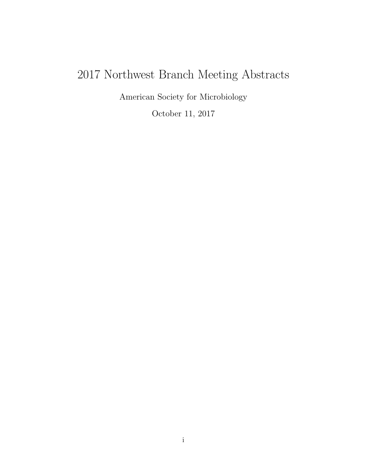# 2017 Northwest Branch Meeting Abstracts

American Society for Microbiology

October 11, 2017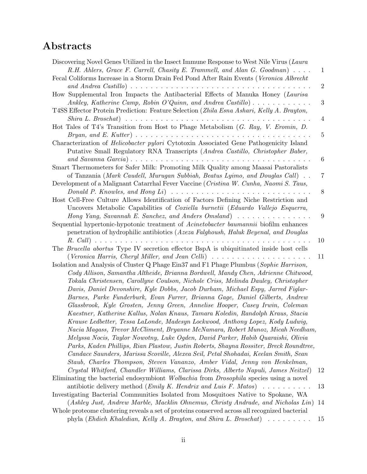## Abstracts

| Discovering Novel Genes Utilized in the Insect Immune Response to West Nile Virus (Laura                                                                                        |                |
|---------------------------------------------------------------------------------------------------------------------------------------------------------------------------------|----------------|
| R.H. Ahlers, Grace F. Carrell, Chasity E. Trammell, and Alan G. Goodman)                                                                                                        | $\mathbf{1}$   |
| Fecal Coliforms Increase in a Storm Drain Fed Pond After Rain Events (Veronica Albrecht                                                                                         |                |
| and Andrea Castillo) $\ldots \ldots \ldots \ldots \ldots \ldots \ldots \ldots \ldots \ldots \ldots \ldots$                                                                      | $\overline{2}$ |
| How Supplemental Iron Impacts the Antibacterial Effects of Manuka Honey (Laurisa                                                                                                |                |
| Ankley, Katherine Camp, Robin O'Quinn, and Andrea Castillo)                                                                                                                     | $\sqrt{3}$     |
| T4SS Effector Protein Prediction: Feature Selection (Zhila Esna Ashari, Kelly A. Brayton,                                                                                       |                |
| $\mathit{Shira}$ L. $\mathit{Broschat}$ ) $\ldots$ $\ldots$ $\ldots$ $\ldots$ $\ldots$ $\ldots$ $\ldots$ $\ldots$ $\ldots$ $\ldots$ $\ldots$ $\ldots$ $\ldots$                  | 4              |
| Hot Tales of T4's Transition from Host to Phage Metabolism $(G. Ray, V. Eromin, D.$                                                                                             |                |
|                                                                                                                                                                                 |                |
|                                                                                                                                                                                 | 5              |
| Characterization of <i>Helicobacter pylori</i> Cytotoxin Associated Gene Pathogenicity Island<br>Putative Small Regulatory RNA Transcripts (Andrea Castillo, Christopher Baber, |                |
|                                                                                                                                                                                 | $\,6\,$        |
| Smart Thermometers for Safer Milk: Promoting Milk Quality among Maasai Pastoralists                                                                                             |                |
| of Tanzania (Mark Caudell, Murugan Subbiah, Beatus Lyimo, and Douglas Call).                                                                                                    | 7              |
| Development of a Malignant Catarrhal Fever Vaccine (Cristina W. Cunha, Naomi S. Taus,                                                                                           |                |
|                                                                                                                                                                                 | 8              |
| Host Cell-Free Culture Allows Identification of Factors Defining Niche Restriction and                                                                                          |                |
| Uncovers Metabolic Capabilities of Coxiella burnetii (Eduardo Vallejo Esquerra,                                                                                                 |                |
| Hong Yang, Savannah E. Sanchez, and Anders Omsland)                                                                                                                             | 9              |
| Sequential hypertonic-hypotonic treatment of <i>Acinetobacter baumannii</i> biofilm enhances                                                                                    |                |
| penetration of hydrophilic antibiotics (Azeza Falghoush, Haluk Beyenal, and Douglas                                                                                             |                |
|                                                                                                                                                                                 | 10             |
| The Brucella abortus Type IV secretion effector BspA is ubiquitinated inside host cells                                                                                         |                |
| (Veronica Harris, Cheryl Miller, and Jean Celli) $\ldots \ldots \ldots \ldots \ldots \ldots \ldots$                                                                             | 11             |
| Isolation and Analysis of Cluster Q Phage Ein37 and F1 Phage Plumbus (Sophie Harrison,                                                                                          |                |
| Cody Allison, Samantha Altheide, Brianna Bordwell, Mandy Chen, Adrienne Chitwood,                                                                                               |                |
| Tokala Christensen, Carollyne Coulson, Nichole Criss, Melinda Dauley, Christopher                                                                                               |                |
| Davis, Daniel Devonshire, Kyle Dobbs, Jacob Durham, Michael Espy, Jarred Figlar-                                                                                                |                |
| Barnes, Parke Funderburk, Evan Furrer, Brianna Gage, Daniel Gilberts, Andrew                                                                                                    |                |
| Glassbrook, Kyle Grosten, Jenny Green, Annelise Hooper, Casey Irwin, Coleman                                                                                                    |                |
| Kaestner, Katherine Kallus, Nolan Knaus, Tamara Koledin, Randolph Kraus, Stacia                                                                                                 |                |
| Krause Ledbetter, Tessa LaLonde, Madesyn Lockwood, Anthony Lopez, Kody Ludwig,                                                                                                  |                |
|                                                                                                                                                                                 |                |
| Nacia Magass, Trevor McCliment, Bryanne McNamara, Robert Munoz, Micah Needham,                                                                                                  |                |
| Melyssa Nocis, Taylor Nowotny, Luke Ogden, David Parker, Habib Quaraishi, Olivia                                                                                                |                |
| Parks, Kaden Phillips, Rian Plastow, Justin Roberts, Shayna Rossiter, Breck Roundtree,                                                                                          |                |
| Candace Saunders, Marissa Scoville, Alexea Seil, Petal Shohadai, Keelan Smith, Sean                                                                                             |                |
| Staub, Charles Thompson, Steven Vananzo, Amber Vidal, Jenny von Henkelman,                                                                                                      |                |
| Crystal Whitford, Chandler Williams, Clarissa Dirks, Alberto Napuli, James Neitzel)                                                                                             | 12             |
| Eliminating the bacterial endosymbiont <i>Wolbachia</i> from <i>Drosophila</i> species using a novel                                                                            |                |
| antibiotic delivery method ( <i>Emily K. Hendrix and Luis F. Matos</i> ) $\dots \dots \dots$                                                                                    | 13             |
| Investigating Bacterial Communities Isolated from Mosquitoes Native to Spokane, WA                                                                                              |                |
| (Ashley Just, Andrew Marble, Macklin Ohnemus, Christy Andrade, and Nicholas Lin)                                                                                                | 14             |
| Whole proteome clustering reveals a set of proteins conserved across all recognized bacterial                                                                                   |                |
| phyla (Ehdieh Khaledian, Kelly A. Brayton, and Shira L. Broschat)                                                                                                               | 15             |
|                                                                                                                                                                                 |                |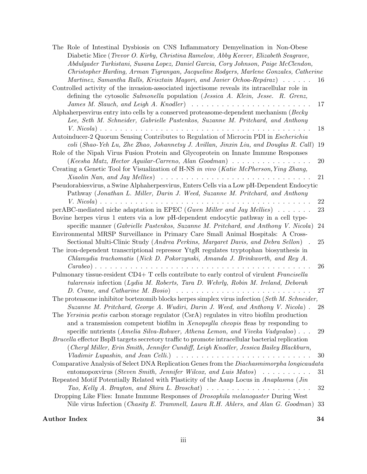| The Role of Intestinal Dysbiosis on CNS Inflammatory Demyelination in Non-Obese                             |        |
|-------------------------------------------------------------------------------------------------------------|--------|
| Diabetic Mice (Trevor O. Kirby, Christina Ramelow, Abby Keever, Elizabeth Seagrave,                         |        |
| Abdulgader Turkistani, Susana Lopez, Daniel Garcia, Cory Johnson, Paige McClendon,                          |        |
| Christopher Harding, Arman Tigranyan, Jacqueline Rodgers, Marlene Gonzales, Catherine                       |        |
| Martinez, Samantha Ralls, Krisztain Magori, and Javier Ochoa-Repáraz)                                       | 16     |
| Controlled activity of the invasion-associated injectisome reveals its intracellular role in                |        |
| defining the cytosolic Salmonella population (Jessica A. Klein, Jesse. R. Grenz,                            |        |
| James M. Slauch, and Leigh A. Knodler) $\ldots \ldots \ldots \ldots \ldots \ldots \ldots \ldots \ldots$     | 17     |
| Alphaherpesvirus entry into cells by a conserved proteasome-dependent mechanism (Becky                      |        |
| Lee, Seth M. Schneider, Gabrielle Pastenkos, Suzanne M. Pritchard, and Anthony                              |        |
|                                                                                                             | 18     |
| Autoinducer-2 Quorum Sensing Contributes to Regulation of Microcin PDI in Escherichia                       |        |
| coli (Shao-Yeh Lu, Zhe Zhao, Johannetsy J. Avillan, Jinxin Liu, and Douglas R. Call)                        | 19     |
| Role of the Nipah Virus Fusion Protein and Glycoprotein on Innate Immune Responses                          |        |
| $(Keesha Matz, Hector Aquilar-Carreno, Alan Goodman) \dots \dots \dots \dots \dots \dots$                   | 20     |
| Creating a Genetic Tool for Visualization of H-NS in vivo (Katie McPherson, Ying Zhang,                     |        |
| Xiaolin Nan, and Jay Mellies $\cdots \cdots \cdots \cdots \cdots \cdots \cdots \cdots \cdots \cdots \cdots$ | 21     |
| Pseudorabiesvirus, a Swine Alphaherpesvirus, Enters Cells via a Low pH-Dependent Endocytic                  |        |
| Pathway (Jonathan L. Miller, Darin J. Weed, Suzanne M. Pritchard, and Anthony                               |        |
|                                                                                                             | 22     |
| perABC-mediated niche adaptation in EPEC (Gwen Miller and Jay Mellies) $\dots \dots$                        | 23     |
| Bovine herpes virus 1 enters via a low pH-dependent endocytic pathway in a cell type-                       |        |
| specific manner (Gabrielle Pastenkos, Suzanne M. Pritchard, and Anthony V. Nicola)                          | 24     |
| Environmental MRSP Surveillance in Primary Care Small Animal Hospitals: A Cross-                            |        |
| Sectional Multi-Clinic Study (Andrea Perkins, Margaret Davis, and Debra Sellon)                             | $25\,$ |
| The iron-dependent transcriptional repressor YtgR regulates tryptophan biosynthesis in                      |        |
| Chlamydia trachomatis (Nick D. Pokorzynski, Amanda J. Brinkworth, and Rey A.                                |        |
|                                                                                                             | 26     |
| Pulmonary tissue-resident CD4+ T cells contribute to early control of virulent Francisella                  |        |
| tularensis infection (Lydia M. Roberts, Tara D. Wehrly, Robin M. Ireland, Deborah                           |        |
| D. Crane, and Catharine M. Bosio $\ldots \ldots \ldots \ldots \ldots \ldots \ldots \ldots$                  | 27     |
| The proteasome inhibitor bortezomib blocks herpes simplex virus infection (Seth M. Schneider,               |        |
| Suzanne M. Pritchard, George A. Wudiri, Darin J. Weed, and Anthony V. Nicola)                               | 28     |
| The Yersinia pestis carbon storage regulator (CsrA) regulates in vitro biofilm production                   |        |
| and a transmission competent biofilm in Xenopsylla cheopis fleas by responding to                           |        |
| specific nutrients (Amelia Silva-Rohwer, Athena Lemon, and Viveka Vadyvaloo)                                | 29     |
| Brucella effector BspB targets secretory traffic to promote intracellular bacterial replication             |        |
| (Cheryl Miller, Erin Smith, Jennifer Cundiff, Leigh Knodler, Jessica Bailey Blackburn,                      |        |
| Vladimir Lupashin, and Jean Celli.) $\ldots \ldots \ldots \ldots \ldots \ldots \ldots \ldots \ldots \ldots$ | 30     |
| Comparative Analysis of Select DNA Replication Genes from the Diachasmimorpha longicaudata                  |        |
| entomopoxyirus (Steven Smith, Jennifer Wilcox, and Luis Matos) $\ldots \ldots \ldots$                       | 31     |
| Repeated Motif Potentially Related with Plasticity of the Aaap Locus in Anaplasma (Jin                      |        |
| Tao, Kelly A. Brayton, and Shira L. Broschat) $\ldots \ldots \ldots \ldots \ldots \ldots \ldots$            | 32     |
| Dropping Like Flies: Innate Immune Responses of <i>Drosophila melanogaster</i> During West                  |        |
| Nile virus Infection (Chasity E. Trammell, Laura R.H. Ahlers, and Alan G. Goodman) 33                       |        |

#### [Author Index](#page-36-0) 34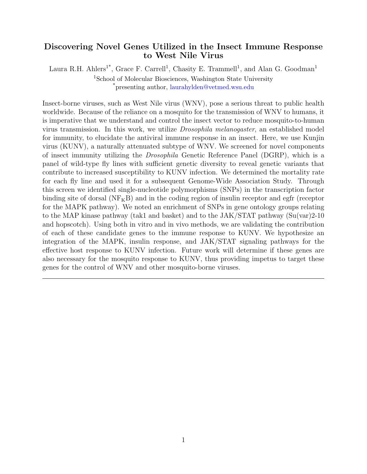#### <span id="page-3-1"></span><span id="page-3-0"></span>Discovering Novel Genes Utilized in the Insect Immune Response to West Nile Virus

Laura R.H. Ahlers<sup>1\*</sup>, Grace F. Carrell<sup>1</sup>, Chasity E. Trammell<sup>1</sup>, and Alan G. Goodman<sup>1</sup> <sup>1</sup>School of Molecular Biosciences, Washington State University \*presenting author, [laurahylden@vetmed.wsu.edu](mailto:laurahylden@vetmed.wsu.edu )

Insect-borne viruses, such as West Nile virus (WNV), pose a serious threat to public health worldwide. Because of the reliance on a mosquito for the transmission of WNV to humans, it is imperative that we understand and control the insect vector to reduce mosquito-to-human virus transmission. In this work, we utilize Drosophila melanogaster, an established model for immunity, to elucidate the antiviral immune response in an insect. Here, we use Kunjin virus (KUNV), a naturally attenuated subtype of WNV. We screened for novel components of insect immunity utilizing the Drosophila Genetic Reference Panel (DGRP), which is a panel of wild-type fly lines with sufficient genetic diversity to reveal genetic variants that contribute to increased susceptibility to KUNV infection. We determined the mortality rate for each fly line and used it for a subsequent Genome-Wide Association Study. Through this screen we identified single-nucleotide polymorphisms (SNPs) in the transcription factor binding site of dorsal  $(NF<sub>K</sub>B)$  and in the coding region of insulin receptor and egfr (receptor for the MAPK pathway). We noted an enrichment of SNPs in gene ontology groups relating to the MAP kinase pathway (tak1 and basket) and to the JAK/STAT pathway (Su(var)2-10 and hopscotch). Using both in vitro and in vivo methods, we are validating the contribution of each of these candidate genes to the immune response to KUNV. We hypothesize an integration of the MAPK, insulin response, and JAK/STAT signaling pathways for the effective host response to KUNV infection. Future work will determine if these genes are also necessary for the mosquito response to KUNV, thus providing impetus to target these genes for the control of WNV and other mosquito-borne viruses.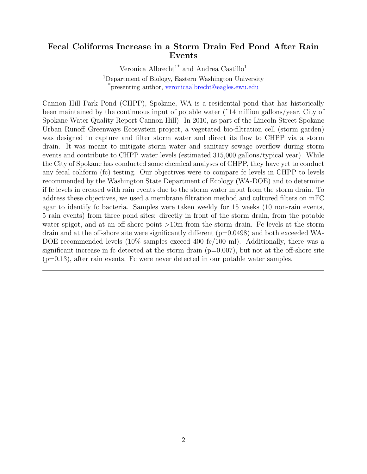#### <span id="page-4-1"></span><span id="page-4-0"></span>Fecal Coliforms Increase in a Storm Drain Fed Pond After Rain Events

Veronica Albrecht<sup>1\*</sup> and Andrea Castillo<sup>1</sup>

<sup>1</sup>Department of Biology, Eastern Washington University \*presenting author, [veronicaalbrecht@eagles.ewu.edu](mailto:veronicaalbrecht@eagles.ewu.edu)

Cannon Hill Park Pond (CHPP), Spokane, WA is a residential pond that has historically been maintained by the continuous input of potable water (˜14 million gallons/year, City of Spokane Water Quality Report Cannon Hill). In 2010, as part of the Lincoln Street Spokane Urban Runoff Greenways Ecosystem project, a vegetated bio-filtration cell (storm garden) was designed to capture and filter storm water and direct its flow to CHPP via a storm drain. It was meant to mitigate storm water and sanitary sewage overflow during storm events and contribute to CHPP water levels (estimated 315,000 gallons/typical year). While the City of Spokane has conducted some chemical analyses of CHPP, they have yet to conduct any fecal coliform (fc) testing. Our objectives were to compare fc levels in CHPP to levels recommended by the Washington State Department of Ecology (WA-DOE) and to determine if fc levels in creased with rain events due to the storm water input from the storm drain. To address these objectives, we used a membrane filtration method and cultured filters on mFC agar to identify fc bacteria. Samples were taken weekly for 15 weeks (10 non-rain events, 5 rain events) from three pond sites: directly in front of the storm drain, from the potable water spigot, and at an off-shore point  $>10$ m from the storm drain. Fc levels at the storm drain and at the off-shore site were significantly different  $(p=0.0498)$  and both exceeded WA-DOE recommended levels (10% samples exceed 400 fc/100 ml). Additionally, there was a significant increase in fc detected at the storm drain  $(p=0.007)$ , but not at the off-shore site (p=0.13), after rain events. Fc were never detected in our potable water samples.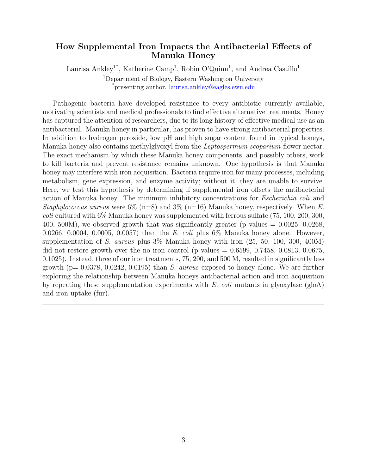#### <span id="page-5-1"></span><span id="page-5-0"></span>How Supplemental Iron Impacts the Antibacterial Effects of Manuka Honey

Laurisa Ankley<sup>1\*</sup>, Katherine Camp<sup>1</sup>, Robin O'Quinn<sup>1</sup>, and Andrea Castillo<sup>1</sup> <sup>1</sup>Department of Biology, Eastern Washington University \*presenting author, [laurisa.ankley@eagles.ewu.edu](mailto:laurisa.ankley@eagles.ewu.edu)

Pathogenic bacteria have developed resistance to every antibiotic currently available, motivating scientists and medical professionals to find effective alternative treatments. Honey has captured the attention of researchers, due to its long history of effective medical use as an antibacterial. Manuka honey in particular, has proven to have strong antibacterial properties. In addition to hydrogen peroxide, low pH and high sugar content found in typical honeys, Manuka honey also contains methylglyoxyl from the *Leptospermum scoparium* flower nectar. The exact mechanism by which these Manuka honey components, and possibly others, work to kill bacteria and prevent resistance remains unknown. One hypothesis is that Manuka honey may interfere with iron acquisition. Bacteria require iron for many processes, including metabolism, gene expression, and enzyme activity; without it, they are unable to survive. Here, we test this hypothesis by determining if supplemental iron offsets the antibacterial action of Manuka honey. The minimum inhibitory concentrations for Escherichia coli and Staphylococcus aureus were  $6\%$  (n=8) and  $3\%$  (n=16) Manuka honey, respectively. When E. coli cultured with 6% Manuka honey was supplemented with ferrous sulfate (75, 100, 200, 300, 400, 500M), we observed growth that was significantly greater (p values  $= 0.0025, 0.0268$ , 0.0266, 0.0004, 0.0005, 0.0057) than the E. coli plus  $6\%$  Manuka honey alone. However, supplementation of S. aureus plus 3% Manuka honey with iron (25, 50, 100, 300, 400M) did not restore growth over the no iron control (p values  $= 0.6599, 0.7458, 0.0813, 0.0675,$ 0.1025). Instead, three of our iron treatments, 75, 200, and 500 M, resulted in significantly less growth ( $p= 0.0378, 0.0242, 0.0195$ ) than S. aureus exposed to honey alone. We are further exploring the relationship between Manuka honeys antibacterial action and iron acquisition by repeating these supplementation experiments with  $E.$  coli mutants in glyoxylase (gloA) and iron uptake (fur).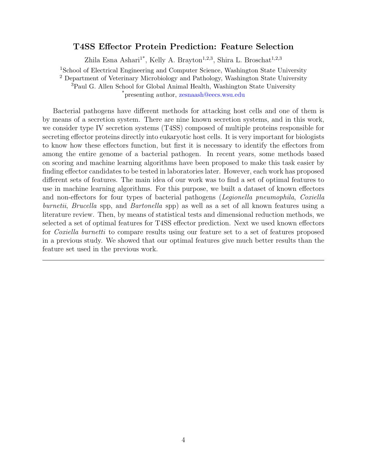#### <span id="page-6-1"></span>T4SS Effector Protein Prediction: Feature Selection

Zhila Esna Ashari<sup>1\*</sup>, Kelly A. Brayton<sup>1,2,3</sup>, Shira L. Broschat<sup>1,2,3</sup>

<span id="page-6-0"></span><sup>1</sup>School of Electrical Engineering and Computer Science, Washington State University

<sup>2</sup> Department of Veterinary Microbiology and Pathology, Washington State University <sup>3</sup>Paul G. Allen School for Global Animal Health, Washington State University

\*presenting author, [zesnaash@eecs.wsu.edu](mailto:zesnaash@eecs.wsu.edu)

Bacterial pathogens have different methods for attacking host cells and one of them is by means of a secretion system. There are nine known secretion systems, and in this work, we consider type IV secretion systems (T4SS) composed of multiple proteins responsible for secreting effector proteins directly into eukaryotic host cells. It is very important for biologists to know how these effectors function, but first it is necessary to identify the effectors from among the entire genome of a bacterial pathogen. In recent years, some methods based on scoring and machine learning algorithms have been proposed to make this task easier by finding effector candidates to be tested in laboratories later. However, each work has proposed different sets of features. The main idea of our work was to find a set of optimal features to use in machine learning algorithms. For this purpose, we built a dataset of known effectors and non-effectors for four types of bacterial pathogens (Legionella pneumophila, Coxiella burnetii, Brucella spp, and Bartonella spp) as well as a set of all known features using a literature review. Then, by means of statistical tests and dimensional reduction methods, we selected a set of optimal features for T4SS effector prediction. Next we used known effectors for *Coxiella burnetti* to compare results using our feature set to a set of features proposed in a previous study. We showed that our optimal features give much better results than the feature set used in the previous work.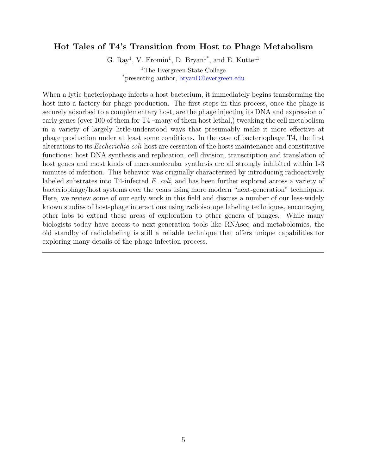#### <span id="page-7-1"></span><span id="page-7-0"></span>Hot Tales of T4's Transition from Host to Phage Metabolism

G. Ray<sup>1</sup>, V. Eromin<sup>1</sup>, D. Bryan<sup>1\*</sup>, and E. Kutter<sup>1</sup> <sup>1</sup>The Evergreen State College \*presenting author, [bryanD@evergreen.edu](mailto:bryanD@evergreen.edu )

When a lytic bacteriophage infects a host bacterium, it immediately begins transforming the host into a factory for phage production. The first steps in this process, once the phage is securely adsorbed to a complementary host, are the phage injecting its DNA and expression of early genes (over 100 of them for T4 –many of them host lethal,) tweaking the cell metabolism in a variety of largely little-understood ways that presumably make it more effective at phage production under at least some conditions. In the case of bacteriophage T4, the first alterations to its Escherichia coli host are cessation of the hosts maintenance and constitutive functions: host DNA synthesis and replication, cell division, transcription and translation of host genes and most kinds of macromolecular synthesis are all strongly inhibited within 1-3 minutes of infection. This behavior was originally characterized by introducing radioactively labeled substrates into T4-infected E. coli, and has been further explored across a variety of bacteriophage/host systems over the years using more modern "next-generation" techniques. Here, we review some of our early work in this field and discuss a number of our less-widely known studies of host-phage interactions using radioisotope labeling techniques, encouraging other labs to extend these areas of exploration to other genera of phages. While many biologists today have access to next-generation tools like RNAseq and metabolomics, the old standby of radiolabeling is still a reliable technique that offers unique capabilities for exploring many details of the phage infection process.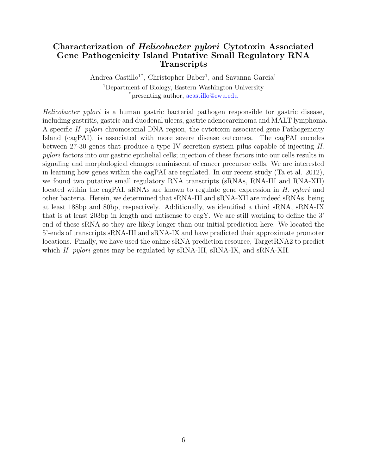#### <span id="page-8-1"></span><span id="page-8-0"></span>Characterization of Helicobacter pylori Cytotoxin Associated Gene Pathogenicity Island Putative Small Regulatory RNA **Transcripts**

Andrea Castillo<sup>1\*</sup>, Christopher Baber<sup>1</sup>, and Savanna Garcia<sup>1</sup> <sup>1</sup>Department of Biology, Eastern Washington University \*presenting author, [acastillo@ewu.edu](mailto:acastillo@ewu.edu )

Helicobacter pylori is a human gastric bacterial pathogen responsible for gastric disease, including gastritis, gastric and duodenal ulcers, gastric adenocarcinoma and MALT lymphoma. A specific H. pylori chromosomal DNA region, the cytotoxin associated gene Pathogenicity Island (cagPAI), is associated with more severe disease outcomes. The cagPAI encodes between 27-30 genes that produce a type IV secretion system pilus capable of injecting H. pylori factors into our gastric epithelial cells; injection of these factors into our cells results in signaling and morphological changes reminiscent of cancer precursor cells. We are interested in learning how genes within the cagPAI are regulated. In our recent study (Ta et al. 2012), we found two putative small regulatory RNA transcripts (sRNAs, RNA-III and RNA-XII) located within the cagPAI. sRNAs are known to regulate gene expression in H. pylori and other bacteria. Herein, we determined that sRNA-III and sRNA-XII are indeed sRNAs, being at least 188bp and 80bp, respectively. Additionally, we identified a third sRNA, sRNA-IX that is at least 203bp in length and antisense to cagY. We are still working to define the 3' end of these sRNA so they are likely longer than our initial prediction here. We located the 5'-ends of transcripts sRNA-III and sRNA-IX and have predicted their approximate promoter locations. Finally, we have used the online sRNA prediction resource, TargetRNA2 to predict which H. pylori genes may be regulated by sRNA-III, sRNA-IX, and sRNA-XII.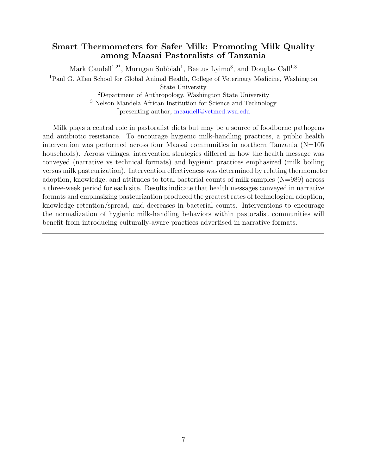#### <span id="page-9-1"></span><span id="page-9-0"></span>Smart Thermometers for Safer Milk: Promoting Milk Quality among Maasai Pastoralists of Tanzania

Mark Caudell<sup>1,2\*</sup>, Murugan Subbiah<sup>1</sup>, Beatus Lyimo<sup>3</sup>, and Douglas Call<sup>1,3</sup> <sup>1</sup>Paul G. Allen School for Global Animal Health, College of Veterinary Medicine, Washington State University

<sup>2</sup>Department of Anthropology, Washington State University

<sup>3</sup> Nelson Mandela African Institution for Science and Technology \*presenting author, [mcaudell@vetmed.wsu.edu](mailto:mcaudell@vetmed.wsu.edu)

Milk plays a central role in pastoralist diets but may be a source of foodborne pathogens and antibiotic resistance. To encourage hygienic milk-handling practices, a public health intervention was performed across four Maasai communities in northern Tanzania  $(N=105$ households). Across villages, intervention strategies differed in how the health message was conveyed (narrative vs technical formats) and hygienic practices emphasized (milk boiling versus milk pasteurization). Intervention effectiveness was determined by relating thermometer adoption, knowledge, and attitudes to total bacterial counts of milk samples (N=989) across a three-week period for each site. Results indicate that health messages conveyed in narrative formats and emphasizing pasteurization produced the greatest rates of technological adoption, knowledge retention/spread, and decreases in bacterial counts. Interventions to encourage the normalization of hygienic milk-handling behaviors within pastoralist communities will benefit from introducing culturally-aware practices advertised in narrative formats.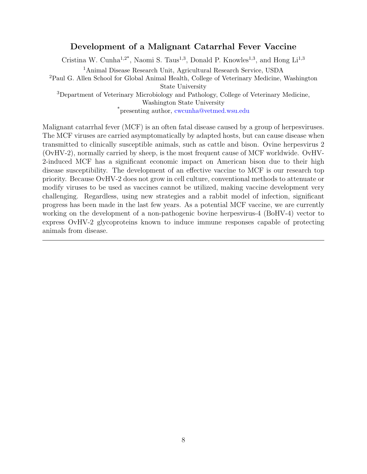#### <span id="page-10-1"></span>Development of a Malignant Catarrhal Fever Vaccine

<span id="page-10-0"></span>Cristina W. Cunha<sup>1,2\*</sup>, Naomi S. Taus<sup>1,3</sup>, Donald P. Knowles<sup>1,3</sup>, and Hong Li<sup>1,3</sup>

<sup>1</sup>Animal Disease Research Unit, Agricultural Research Service, USDA

<sup>2</sup>Paul G. Allen School for Global Animal Health, College of Veterinary Medicine, Washington State University

<sup>3</sup>Department of Veterinary Microbiology and Pathology, College of Veterinary Medicine, Washington State University

\*presenting author, [cwcunha@vetmed.wsu.edu](mailto:cwcunha@vetmed.wsu.edu )

Malignant catarrhal fever (MCF) is an often fatal disease caused by a group of herpesviruses. The MCF viruses are carried asymptomatically by adapted hosts, but can cause disease when transmitted to clinically susceptible animals, such as cattle and bison. Ovine herpesvirus 2 (OvHV-2), normally carried by sheep, is the most frequent cause of MCF worldwide. OvHV-2-induced MCF has a significant economic impact on American bison due to their high disease susceptibility. The development of an effective vaccine to MCF is our research top priority. Because OvHV-2 does not grow in cell culture, conventional methods to attenuate or modify viruses to be used as vaccines cannot be utilized, making vaccine development very challenging. Regardless, using new strategies and a rabbit model of infection, significant progress has been made in the last few years. As a potential MCF vaccine, we are currently working on the development of a non-pathogenic bovine herpesvirus-4 (BoHV-4) vector to express OvHV-2 glycoproteins known to induce immune responses capable of protecting animals from disease.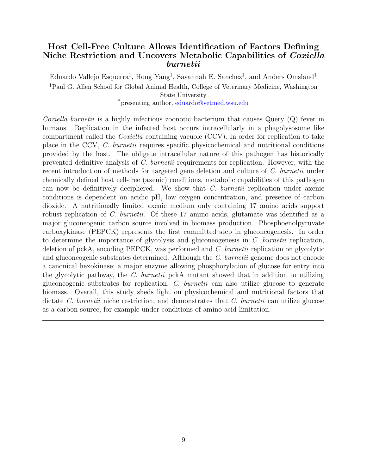#### <span id="page-11-1"></span><span id="page-11-0"></span>Host Cell-Free Culture Allows Identification of Factors Defining Niche Restriction and Uncovers Metabolic Capabilities of *Coxiella* burnetii

Eduardo Vallejo Esquerra<sup>1</sup>, Hong Yang<sup>1</sup>, Savannah E. Sanchez<sup>1</sup>, and Anders Omsland<sup>1</sup> <sup>1</sup>Paul G. Allen School for Global Animal Health, College of Veterinary Medicine, Washington State University \*presenting author, [eduardo@vetmed.wsu.edu](mailto:eduardo@vetmed.wsu.edu )

Coxiella burnetii is a highly infectious zoonotic bacterium that causes Query  $(Q)$  fever in humans. Replication in the infected host occurs intracellularly in a phagolysosome like compartment called the Coxiella containing vacuole (CCV). In order for replication to take place in the CCV, C. burnetii requires specific physicochemical and nutritional conditions provided by the host. The obligate intracellular nature of this pathogen has historically prevented definitive analysis of C. burnetii requirements for replication. However, with the recent introduction of methods for targeted gene deletion and culture of C. burnetii under chemically defined host cell-free (axenic) conditions, metabolic capabilities of this pathogen can now be definitively deciphered. We show that C. burnetii replication under axenic conditions is dependent on acidic pH, low oxygen concentration, and presence of carbon dioxide. A nutritionally limited axenic medium only containing 17 amino acids support robust replication of C. burnetii. Of these 17 amino acids, glutamate was identified as a major gluconeogenic carbon source involved in biomass production. Phosphoenolpyruvate carboxykinase (PEPCK) represents the first committed step in gluconeogenesis. In order to determine the importance of glycolysis and glucone genesis in  $C$ . burnetii replication, deletion of pckA, encoding PEPCK, was performed and C. burnetii replication on glycolytic and gluconeogenic substrates determined. Although the C. burnetii genome does not encode a canonical hexokinase; a major enzyme allowing phosphorylation of glucose for entry into the glycolytic pathway, the C. burnetii pckA mutant showed that in addition to utilizing gluconeogenic substrates for replication, C. burnetii can also utilize glucose to generate biomass. Overall, this study sheds light on physicochemical and nutritional factors that dictate C. burnetii niche restriction, and demonstrates that C. burnetii can utilize glucose as a carbon source, for example under conditions of amino acid limitation.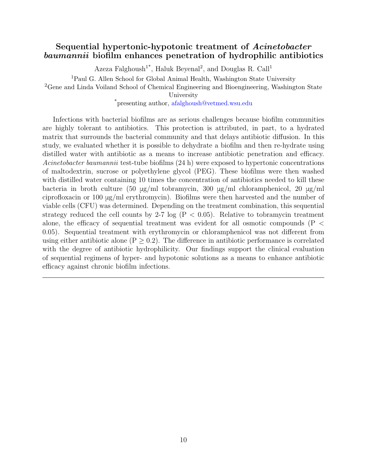#### <span id="page-12-1"></span><span id="page-12-0"></span>Sequential hypertonic-hypotonic treatment of Acinetobacter baumannii biofilm enhances penetration of hydrophilic antibiotics

Azeza Falghoush<sup>1\*</sup>, Haluk Beyenal<sup>2</sup>, and Douglas R. Call<sup>1</sup>

<sup>1</sup>Paul G. Allen School for Global Animal Health, Washington State University

<sup>2</sup>Gene and Linda Voiland School of Chemical Engineering and Bioengineering, Washington State

University

\*presenting author, [afalghoush@vetmed.wsu.edu](mailto:afalghoush@vetmed.wsu.edu)

Infections with bacterial biofilms are as serious challenges because biofilm communities are highly tolerant to antibiotics. This protection is attributed, in part, to a hydrated matrix that surrounds the bacterial community and that delays antibiotic diffusion. In this study, we evaluated whether it is possible to dehydrate a biofilm and then re-hydrate using distilled water with antibiotic as a means to increase antibiotic penetration and efficacy. Acinetobacter baumannii test-tube biofilms (24 h) were exposed to hypertonic concentrations of maltodextrin, sucrose or polyethylene glycol (PEG). These biofilms were then washed with distilled water containing 10 times the concentration of antibiotics needed to kill these bacteria in broth culture (50 μg/ml tobramycin, 300 μg/ml chloramphenicol, 20 μg/ml ciprofloxacin or 100 μg/ml erythromycin). Biofilms were then harvested and the number of viable cells (CFU) was determined. Depending on the treatment combination, this sequential strategy reduced the cell counts by 2-7 log  $(P < 0.05)$ . Relative to tobramycin treatment alone, the efficacy of sequential treatment was evident for all osmotic compounds (P < 0.05). Sequential treatment with erythromycin or chloramphenicol was not different from using either antibiotic alone ( $P \geq 0.2$ ). The difference in antibiotic performance is correlated with the degree of antibiotic hydrophilicity. Our findings support the clinical evaluation of sequential regimens of hyper- and hypotonic solutions as a means to enhance antibiotic efficacy against chronic biofilm infections.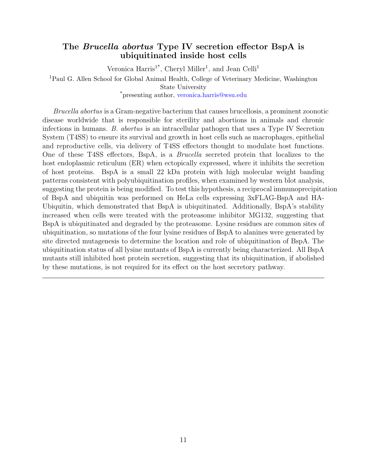#### <span id="page-13-1"></span><span id="page-13-0"></span>The Brucella abortus Type IV secretion effector BspA is ubiquitinated inside host cells

Veronica Harris<sup>1\*</sup>, Cheryl Miller<sup>1</sup>, and Jean Celli<sup>1</sup>

<sup>1</sup>Paul G. Allen School for Global Animal Health, College of Veterinary Medicine, Washington

State University

\*presenting author, [veronica.harris@wsu.edu](mailto:veronica.harris@wsu.edu)

Brucella abortus is a Gram-negative bacterium that causes brucellosis, a prominent zoonotic disease worldwide that is responsible for sterility and abortions in animals and chronic infections in humans. B. abortus is an intracellular pathogen that uses a Type IV Secretion System (T4SS) to ensure its survival and growth in host cells such as macrophages, epithelial and reproductive cells, via delivery of T4SS effectors thought to modulate host functions. One of these T4SS effectors, BspA, is a Brucella secreted protein that localizes to the host endoplasmic reticulum (ER) when ectopically expressed, where it inhibits the secretion of host proteins. BspA is a small 22 kDa protein with high molecular weight banding patterns consistent with polyubiquitination profiles, when examined by western blot analysis, suggesting the protein is being modified. To test this hypothesis, a reciprocal immunoprecipitation of BspA and ubiquitin was performed on HeLa cells expressing 3xFLAG-BspA and HA-Ubiquitin, which demonstrated that BspA is ubiquitinated. Additionally, BspA's stability increased when cells were treated with the proteasome inhibitor MG132, suggesting that BspA is ubiquitinated and degraded by the proteasome. Lysine residues are common sites of ubiquitination, so mutations of the four lysine residues of BspA to alanines were generated by site directed mutagenesis to determine the location and role of ubiquitination of BspA. The ubiquitination status of all lysine mutants of BspA is currently being characterized. All BspA mutants still inhibited host protein secretion, suggesting that its ubiquitination, if abolished by these mutations, is not required for its effect on the host secretory pathway.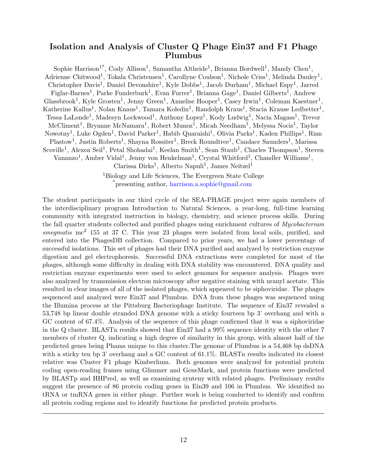#### <span id="page-14-1"></span><span id="page-14-0"></span>Isolation and Analysis of Cluster Q Phage Ein37 and F1 Phage Plumbus

Sophie Harrison<sup>1</sup><sup>\*</sup>, Cody Allison<sup>1</sup>, Samantha Altheide<sup>1</sup>, Brianna Bordwell<sup>1</sup>, Mandy Chen<sup>1</sup>, Adrienne Chitwood<sup>1</sup>, Tokala Christensen<sup>1</sup>, Carollyne Coulson<sup>1</sup>, Nichole Criss<sup>1</sup>, Melinda Dauley<sup>1</sup>, Christopher Davis<sup>1</sup>, Daniel Devonshire<sup>1</sup>, Kyle Dobbs<sup>1</sup>, Jacob Durham<sup>1</sup>, Michael Espy<sup>1</sup>, Jarred Figlar-Barnes<sup>1</sup>, Parke Funderburk<sup>1</sup>, Evan Furrer<sup>1</sup>, Brianna Gage<sup>1</sup>, Daniel Gilberts<sup>1</sup>, Andrew Glassbrook<sup>1</sup>, Kyle Grosten<sup>1</sup>, Jenny Green<sup>1</sup>, Annelise Hooper<sup>1</sup>, Casey Irwin<sup>1</sup>, Coleman Kaestner<sup>1</sup>, Katherine Kallus<sup>1</sup>, Nolan Knaus<sup>1</sup>, Tamara Koledin<sup>1</sup>, Randolph Kraus<sup>1</sup>, Stacia Krause Ledbetter<sup>1</sup>, Tessa LaLonde<sup>1</sup>, Madesyn Lockwood<sup>1</sup>, Anthony Lopez<sup>1</sup>, Kody Ludwig<sup>1</sup>, Nacia Magass<sup>1</sup>, Trevor McCliment<sup>1</sup>, Bryanne McNamara<sup>1</sup>, Robert Munoz<sup>1</sup>, Micah Needham<sup>1</sup>, Melyssa Nocis<sup>1</sup>, Taylor Nowotny<sup>1</sup>, Luke Ogden<sup>1</sup>, David Parker<sup>1</sup>, Habib Quaraishi<sup>1</sup>, Olivia Parks<sup>1</sup>, Kaden Phillips<sup>1</sup>, Rian Plastow<sup>1</sup>, Justin Roberts<sup>1</sup>, Shayna Rossiter<sup>1</sup>, Breck Roundtree<sup>1</sup>, Candace Saunders<sup>1</sup>, Marissa Scoville<sup>1</sup>, Alexea Seil<sup>1</sup>, Petal Shohadai<sup>1</sup>, Keelan Smith<sup>1</sup>, Sean Staub<sup>1</sup>, Charles Thompson<sup>1</sup>, Steven Vananzo<sup>1</sup>, Amber Vidal<sup>1</sup>, Jenny von Henkelman<sup>1</sup>, Crystal Whitford<sup>1</sup>, Chandler Williams<sup>1</sup>, Clarissa Dirks<sup>1</sup>, Alberto Napuli<sup>1</sup>, James Neitzel<sup>1</sup>

> <sup>1</sup>Biology and Life Sciences, The Evergreen State College \*presenting author, [harrison.a.sophie@gmail.com](mailto:harrison.a.sophie@gmail.com )

The student participants in our third cycle of the SEA-PHAGE project were again members of the interdisciplinary program Introduction to Natural Sciences, a year-long, full-time learning community with integrated instruction in biology, chemistry, and science process skills. During the fall quarter students collected and purified phages using enrichment cultures of Mycobacterium smegmatis mc<sup>2</sup> 155 at 37 C. This year 23 phages were isolated from local soils, purified, and entered into the PhagesDB collection. Compared to prior years, we had a lower percentage of successful isolations. This set of phages had their DNA purified and analyzed by restriction enzyme digestion and gel electrophoresis. Successful DNA extractions were completed for most of the phages, although some difficulty in dealing with DNA stability was encountered. DNA quality and restriction enzyme experiments were used to select genomes for sequence analysis. Phages were also analyzed by transmission electron microscopy after negative staining with uranyl acetate. This resulted in clear images of all of the isolated phages, which appeared to be siphoviridae. The phages sequenced and analyzed were Ein37 and Plumbus. DNA from these phages was sequenced using the Illumina process at the Pittsburg Bacteriophage Institute. The sequence of Ein37 revealed a 53,748 bp linear double stranded DNA genome with a sticky fourteen bp 3' overhang and with a GC content of 67.4%. Analysis of the sequence of this phage confirmed that it was a siphoviridae in the Q cluster. BLASTn results showed that Ein37 had a 99% sequence identity with the other 7 members of cluster Q, indicating a high degree of similarity in this group, with almost half of the predicted genes being Phams unique to this cluster.The genome of Plumbus is a 54,468 bp dsDNA with a sticky ten bp  $3'$  overhang and a GC content of 61.1%. BLASTn results indicated its closest relative was Cluster F1 phage Kimberlium. Both genomes were analyzed for potential protein coding open-reading frames using Glimmer and GeneMark, and protein functions were predicted by BLASTp and HHPred, as well as examining synteny with related phages. Preliminary results suggest the presence of 86 protein coding genes in Ein39 and 106 in Plumbus. We identified no tRNA or tmRNA genes in either phage. Further work is being conducted to identify and confirm all protein coding regions and to identify functions for predicted protein products.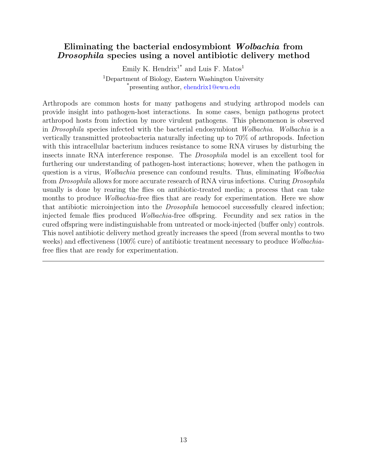#### <span id="page-15-1"></span><span id="page-15-0"></span>Eliminating the bacterial endosymbiont Wolbachia from Drosophila species using a novel antibiotic delivery method

Emily K. Hendrix<sup>1\*</sup> and Luis F. Matos<sup>1</sup>  $^1$ Department of Biology, Eastern Washington University \*presenting author, [ehendrix1@ewu.edu](mailto:ehendrix1@ewu.edu)

Arthropods are common hosts for many pathogens and studying arthropod models can provide insight into pathogen-host interactions. In some cases, benign pathogens protect arthropod hosts from infection by more virulent pathogens. This phenomenon is observed in Drosophila species infected with the bacterial endosymbiont Wolbachia. Wolbachia is a vertically transmitted proteobacteria naturally infecting up to 70% of arthropods. Infection with this intracellular bacterium induces resistance to some RNA viruses by disturbing the insects innate RNA interference response. The Drosophila model is an excellent tool for furthering our understanding of pathogen-host interactions; however, when the pathogen in question is a virus, Wolbachia presence can confound results. Thus, eliminating Wolbachia from *Drosophila* allows for more accurate research of RNA virus infections. Curing *Drosophila* usually is done by rearing the flies on antibiotic-treated media; a process that can take months to produce *Wolbachia*-free flies that are ready for experimentation. Here we show that antibiotic microinjection into the Drosophila hemocoel successfully cleared infection; injected female flies produced Wolbachia-free offspring. Fecundity and sex ratios in the cured offspring were indistinguishable from untreated or mock-injected (buffer only) controls. This novel antibiotic delivery method greatly increases the speed (from several months to two weeks) and effectiveness (100% cure) of antibiotic treatment necessary to produce Wolbachiafree flies that are ready for experimentation.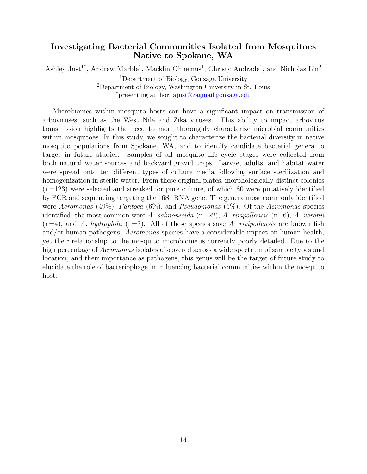#### <span id="page-16-1"></span><span id="page-16-0"></span>Investigating Bacterial Communities Isolated from Mosquitoes Native to Spokane, WA

Ashley Just<sup>1\*</sup>, Andrew Marble<sup>1</sup>, Macklin Ohnemus<sup>1</sup>, Christy Andrade<sup>1</sup>, and Nicholas Lin<sup>2</sup> <sup>1</sup>Department of Biology, Gonzaga University <sup>2</sup>Department of Biology, Washington University in St. Louis \*presenting author, [ajust@zagmail.gonzaga.edu](mailto:ajust@zagmail.gonzaga.edu)

Microbiomes within mosquito hosts can have a significant impact on transmission of arboviruses, such as the West Nile and Zika viruses. This ability to impact arbovirus transmission highlights the need to more thoroughly characterize microbial communities within mosquitoes. In this study, we sought to characterize the bacterial diversity in native mosquito populations from Spokane, WA, and to identify candidate bacterial genera to target in future studies. Samples of all mosquito life cycle stages were collected from both natural water sources and backyard gravid traps. Larvae, adults, and habitat water were spread onto ten different types of culture media following surface sterilization and homogenization in sterile water. From these original plates, morphologically distinct colonies  $(n=123)$  were selected and streaked for pure culture, of which 80 were putatively identified by PCR and sequencing targeting the 16S rRNA gene. The genera most commonly identified were Aeromonas (49%), Pantoea  $(6\%)$ , and Pseudomonas  $(5\%)$ . Of the Aeromonas species identified, the most common were A. salmonicida  $(n=22)$ , A. rivipollensis  $(n=6)$ , A. veronii  $(n=4)$ , and A. hydrophila  $(n=3)$ . All of these species save A. rivipollensis are known fish and/or human pathogens. Aeromonas species have a considerable impact on human health, yet their relationship to the mosquito microbiome is currently poorly detailed. Due to the high percentage of *Aeromonas* isolates discovered across a wide spectrum of sample types and location, and their importance as pathogens, this genus will be the target of future study to elucidate the role of bacteriophage in influencing bacterial communities within the mosquito host.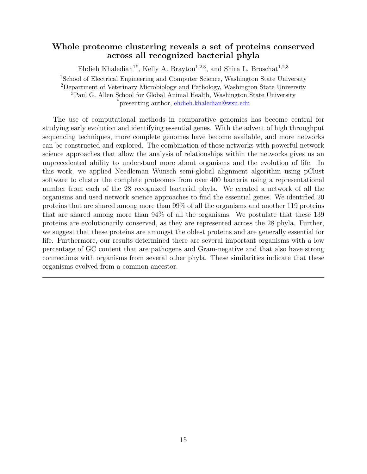#### <span id="page-17-1"></span><span id="page-17-0"></span>Whole proteome clustering reveals a set of proteins conserved across all recognized bacterial phyla

Ehdieh Khaledian<sup>1\*</sup>, Kelly A. Brayton<sup>1,2,3</sup>, and Shira L. Broschat<sup>1,2,3</sup> <sup>1</sup>School of Electrical Engineering and Computer Science, Washington State University <sup>2</sup>Department of Veterinary Microbiology and Pathology, Washington State University <sup>3</sup>Paul G. Allen School for Global Animal Health, Washington State University \*presenting author, [ehdieh.khaledian@wsu.edu](mailto:ehdieh.khaledian@wsu.edu)

The use of computational methods in comparative genomics has become central for studying early evolution and identifying essential genes. With the advent of high throughput sequencing techniques, more complete genomes have become available, and more networks can be constructed and explored. The combination of these networks with powerful network science approaches that allow the analysis of relationships within the networks gives us an unprecedented ability to understand more about organisms and the evolution of life. In this work, we applied Needleman Wunsch semi-global alignment algorithm using pClust software to cluster the complete proteomes from over 400 bacteria using a representational number from each of the 28 recognized bacterial phyla. We created a network of all the organisms and used network science approaches to find the essential genes. We identified 20 proteins that are shared among more than 99% of all the organisms and another 119 proteins that are shared among more than 94% of all the organisms. We postulate that these 139 proteins are evolutionarily conserved, as they are represented across the 28 phyla. Further, we suggest that these proteins are amongst the oldest proteins and are generally essential for life. Furthermore, our results determined there are several important organisms with a low percentage of GC content that are pathogens and Gram-negative and that also have strong connections with organisms from several other phyla. These similarities indicate that these organisms evolved from a common ancestor.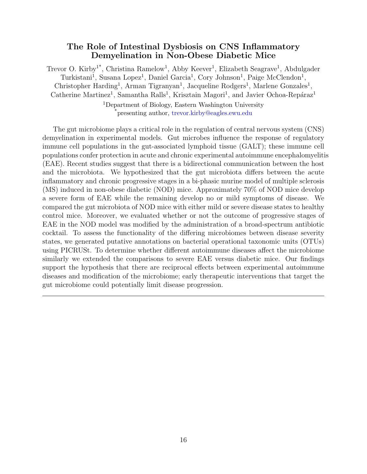#### <span id="page-18-1"></span>The Role of Intestinal Dysbiosis on CNS Inflammatory Demyelination in Non-Obese Diabetic Mice

<span id="page-18-0"></span>Trevor O. Kirby<sup>1\*</sup>, Christina Ramelow<sup>1</sup>, Abby Keever<sup>1</sup>, Elizabeth Seagrave<sup>1</sup>, Abdulgader Turkistani<sup>1</sup>, Susana Lopez<sup>1</sup>, Daniel Garcia<sup>1</sup>, Cory Johnson<sup>1</sup>, Paige McClendon<sup>1</sup>, Christopher Harding<sup>1</sup>, Arman Tigranyan<sup>1</sup>, Jacqueline Rodgers<sup>1</sup>, Marlene Gonzales<sup>1</sup>, Catherine Martinez<sup>1</sup>, Samantha Ralls<sup>1</sup>, Krisztain Magori<sup>1</sup>, and Javier Ochoa-Repáraz<sup>1</sup>

> <sup>1</sup>Department of Biology, Eastern Washington University \*presenting author, [trevor.kirby@eagles.ewu.edu](mailto:trevor.kirby@eagles.ewu.edu)

The gut microbiome plays a critical role in the regulation of central nervous system (CNS) demyelination in experimental models. Gut microbes influence the response of regulatory immune cell populations in the gut-associated lymphoid tissue (GALT); these immune cell populations confer protection in acute and chronic experimental autoimmune encephalomyelitis (EAE). Recent studies suggest that there is a bidirectional communication between the host and the microbiota. We hypothesized that the gut microbiota differs between the acute inflammatory and chronic progressive stages in a bi-phasic murine model of multiple sclerosis (MS) induced in non-obese diabetic (NOD) mice. Approximately 70% of NOD mice develop a severe form of EAE while the remaining develop no or mild symptoms of disease. We compared the gut microbiota of NOD mice with either mild or severe disease states to healthy control mice. Moreover, we evaluated whether or not the outcome of progressive stages of EAE in the NOD model was modified by the administration of a broad-spectrum antibiotic cocktail. To assess the functionality of the differing microbiomes between disease severity states, we generated putative annotations on bacterial operational taxonomic units (OTUs) using PICRUSt. To determine whether different autoimmune diseases affect the microbiome similarly we extended the comparisons to severe EAE versus diabetic mice. Our findings support the hypothesis that there are reciprocal effects between experimental autoimmune diseases and modification of the microbiome; early therapeutic interventions that target the gut microbiome could potentially limit disease progression.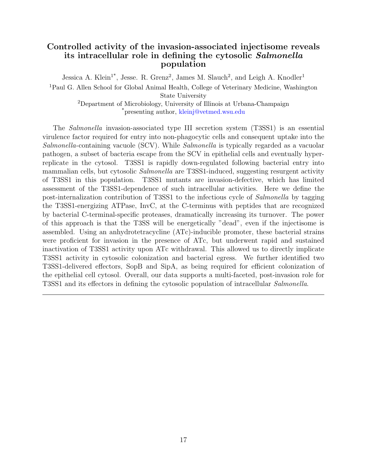#### <span id="page-19-1"></span><span id="page-19-0"></span>Controlled activity of the invasion-associated injectisome reveals its intracellular role in defining the cytosolic Salmonella population

Jessica A. Klein<sup>1\*</sup>, Jesse. R. Grenz<sup>2</sup>, James M. Slauch<sup>2</sup>, and Leigh A. Knodler<sup>1</sup> <sup>1</sup>Paul G. Allen School for Global Animal Health, College of Veterinary Medicine, Washington State University <sup>2</sup>Department of Microbiology, University of Illinois at Urbana-Champaign \*presenting author, [kleinj@vetmed.wsu.edu](mailto:kleinj@vetmed.wsu.edu )

The Salmonella invasion-associated type III secretion system (T3SS1) is an essential virulence factor required for entry into non-phagocytic cells and consequent uptake into the Salmonella-containing vacuole (SCV). While Salmonella is typically regarded as a vacuolar pathogen, a subset of bacteria escape from the SCV in epithelial cells and eventually hyperreplicate in the cytosol. T3SS1 is rapidly down-regulated following bacterial entry into mammalian cells, but cytosolic *Salmonella* are T3SS1-induced, suggesting resurgent activity of T3SS1 in this population. T3SS1 mutants are invasion-defective, which has limited assessment of the T3SS1-dependence of such intracellular activities. Here we define the post-internalization contribution of T3SS1 to the infectious cycle of Salmonella by tagging the T3SS1-energizing ATPase, InvC, at the C-terminus with peptides that are recognized by bacterial C-terminal-specific proteases, dramatically increasing its turnover. The power of this approach is that the T3SS will be energetically "dead", even if the injectisome is assembled. Using an anhydrotetracycline (ATc)-inducible promoter, these bacterial strains were proficient for invasion in the presence of ATc, but underwent rapid and sustained inactivation of T3SS1 activity upon ATc withdrawal. This allowed us to directly implicate T3SS1 activity in cytosolic colonization and bacterial egress. We further identified two T3SS1-delivered effectors, SopB and SipA, as being required for efficient colonization of the epithelial cell cytosol. Overall, our data supports a multi-faceted, post-invasion role for T3SS1 and its effectors in defining the cytosolic population of intracellular Salmonella.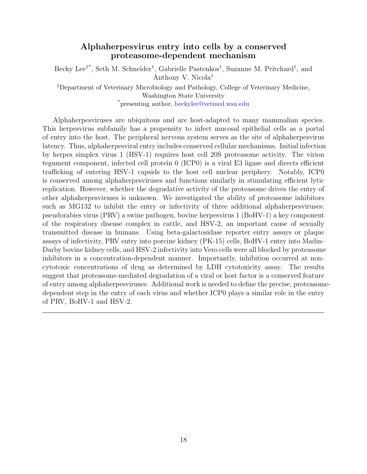#### <span id="page-20-1"></span>Alphaherpesvirus entry into cells by a conserved proteasome-dependent mechanism

<span id="page-20-0"></span>Becky Lee<sup>1\*</sup>, Seth M. Schneider<sup>1</sup>, Gabrielle Pastenkos<sup>1</sup>, Suzanne M. Pritchard<sup>1</sup>, and Anthony V. Nicola<sup>1</sup>

<sup>1</sup>Department of Veterinary Microbiology and Pathology, College of Veterinary Medicine, Washington State University \*presenting author, [beckylee@vetmed.wsu.edu](mailto:beckylee@vetmed.wsu.edu)

Alphaherpesviruses are ubiquitous and are host-adapted to many mammalian species. This herpesvirus subfamily has a propensity to infect mucosal epithelial cells as a portal of entry into the host. The peripheral nervous system serves as the site of alphaherpesvirus latency. Thus, alphaherpesviral entry includes conserved cellular mechanisms. Initial infection by herpes simplex virus 1 (HSV-1) requires host cell 20S proteasome activity. The virion tegument component, infected cell protein 0 (ICP0) is a viral E3 ligase and directs efficient trafficking of entering HSV-1 capsids to the host cell nuclear periphery. Notably, ICP0 is conserved among alphaherpesviruses and functions similarly in stimulating efficient lytic replication. However, whether the degradative activity of the proteasome drives the entry of other alphaherpesviruses is unknown. We investigated the ability of proteasome inhibitors such as MG132 to inhibit the entry or infectivity of three additional alphaherpesviruses: pseudorabies virus (PRV) a swine pathogen, bovine herpesvirus 1 (BoHV-1) a key component of the respiratory disease complex in cattle, and HSV-2, an important cause of sexually transmitted disease in humans. Using beta-galactosidase reporter entry assays or plaque assays of infectivity, PRV entry into porcine kidney (PK-15) cells, BoHV-1 entry into Madin-Darby bovine kidney cells, and HSV-2 infectivity into Vero cells were all blocked by proteasome inhibitors in a concentration-dependent manner. Importantly, inhibition occurred at noncytotoxic concentrations of drug as determined by LDH cytotoxicity assay. The results suggest that proteasome-mediated degradation of a viral or host factor is a conserved feature of entry among alphaherpesviruses. Additional work is needed to define the precise, proteasomedependent step in the entry of each virus and whether ICP0 plays a similar role in the entry of PRV, BoHV-1 and HSV-2.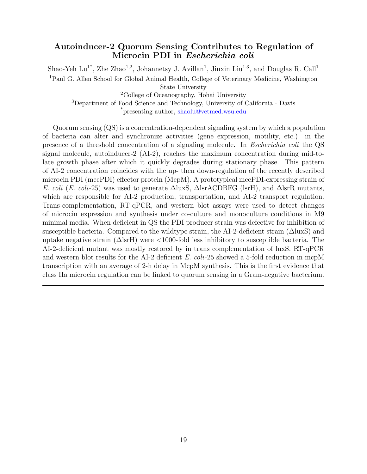#### <span id="page-21-1"></span><span id="page-21-0"></span>Autoinducer-2 Quorum Sensing Contributes to Regulation of Microcin PDI in Escherichia coli

Shao-Yeh Lu<sup>1\*</sup>, Zhe Zhao<sup>1,2</sup>, Johannetsy J. Avillan<sup>1</sup>, Jinxin Liu<sup>1,3</sup>, and Douglas R. Call<sup>1</sup> <sup>1</sup>Paul G. Allen School for Global Animal Health, College of Veterinary Medicine, Washington State University

<sup>2</sup>College of Oceanography, Hohai University <sup>3</sup>Department of Food Science and Technology, University of California - Davis \*presenting author, [shaolu@vetmed.wsu.edu](mailto:shaolu@vetmed.wsu.edu)

Quorum sensing (QS) is a concentration-dependent signaling system by which a population of bacteria can alter and synchronize activities (gene expression, motility, etc.) in the presence of a threshold concentration of a signaling molecule. In Escherichia coli the QS signal molecule, autoinducer-2 (AI-2), reaches the maximum concentration during mid-tolate growth phase after which it quickly degrades during stationary phase. This pattern of AI-2 concentration coincides with the up- then down-regulation of the recently described microcin PDI (mccPDI) effector protein (McpM). A prototypical mccPDI-expressing strain of E. coli (E. coli-25) was used to generate  $\Delta$ luxS,  $\Delta$ lsrACDBFG (lsrH), and  $\Delta$ lsrR mutants, which are responsible for AI-2 production, transportation, and AI-2 transport regulation. Trans-complementation, RT-qPCR, and western blot assays were used to detect changes of microcin expression and synthesis under co-culture and monoculture conditions in M9 minimal media. When deficient in QS the PDI producer strain was defective for inhibition of susceptible bacteria. Compared to the wildtype strain, the AI-2-deficient strain  $(\Delta \text{luxS})$  and uptake negative strain  $(\Delta \text{lsrH})$  were  $\langle 1000 \text{-fold} \rangle$  less inhibitory to susceptible bacteria. The AI-2-deficient mutant was mostly restored by in trans complementation of luxS. RT-qPCR and western blot results for the AI-2 deficient E. coli-25 showed a 5-fold reduction in mcpM transcription with an average of 2-h delay in McpM synthesis. This is the first evidence that class IIa microcin regulation can be linked to quorum sensing in a Gram-negative bacterium.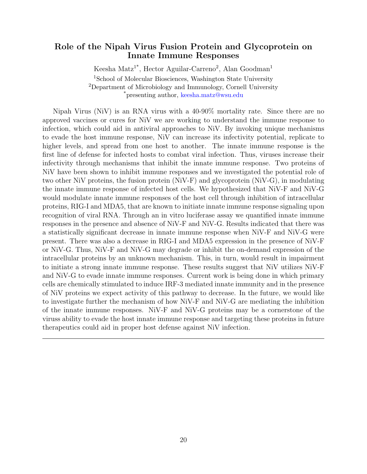#### <span id="page-22-1"></span><span id="page-22-0"></span>Role of the Nipah Virus Fusion Protein and Glycoprotein on Innate Immune Responses

Keesha Matz<sup>1\*</sup>, Hector Aguilar-Carreno<sup>2</sup>, Alan Goodman<sup>1</sup> <sup>1</sup>School of Molecular Biosciences, Washington State University <sup>2</sup>Department of Microbiology and Immunology, Cornell University \*presenting author, [keesha.matz@wsu.edu](mailto:keesha.matz@wsu.edu)

Nipah Virus (NiV) is an RNA virus with a 40-90% mortality rate. Since there are no approved vaccines or cures for NiV we are working to understand the immune response to infection, which could aid in antiviral approaches to NiV. By invoking unique mechanisms to evade the host immune response, NiV can increase its infectivity potential, replicate to higher levels, and spread from one host to another. The innate immune response is the first line of defense for infected hosts to combat viral infection. Thus, viruses increase their infectivity through mechanisms that inhibit the innate immune response. Two proteins of NiV have been shown to inhibit immune responses and we investigated the potential role of two other NiV proteins, the fusion protein (NiV-F) and glycoprotein (NiV-G), in modulating the innate immune response of infected host cells. We hypothesized that NiV-F and NiV-G would modulate innate immune responses of the host cell through inhibition of intracellular proteins, RIG-I and MDA5, that are known to initiate innate immune response signaling upon recognition of viral RNA. Through an in vitro luciferase assay we quantified innate immune responses in the presence and absence of NiV-F and NiV-G. Results indicated that there was a statistically significant decrease in innate immune response when NiV-F and NiV-G were present. There was also a decrease in RIG-I and MDA5 expression in the presence of NiV-F or NiV-G. Thus, NiV-F and NiV-G may degrade or inhibit the on-demand expression of the intracellular proteins by an unknown mechanism. This, in turn, would result in impairment to initiate a strong innate immune response. These results suggest that NiV utilizes NiV-F and NiV-G to evade innate immune responses. Current work is being done in which primary cells are chemically stimulated to induce IRF-3 mediated innate immunity and in the presence of NiV proteins we expect activity of this pathway to decrease. In the future, we would like to investigate further the mechanism of how NiV-F and NiV-G are mediating the inhibition of the innate immune responses. NiV-F and NiV-G proteins may be a cornerstone of the viruss ability to evade the host innate immune response and targeting these proteins in future therapeutics could aid in proper host defense against NiV infection.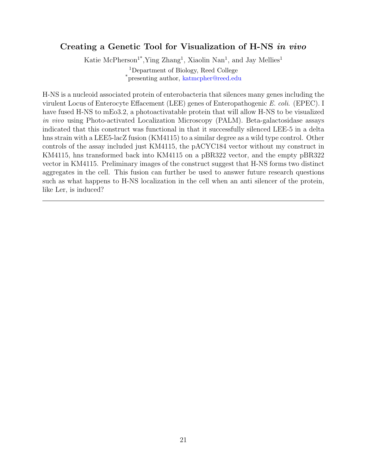#### <span id="page-23-1"></span><span id="page-23-0"></span>Creating a Genetic Tool for Visualization of H-NS in vivo

Katie McPherson<sup>1\*</sup>, Ying Zhang<sup>1</sup>, Xiaolin Nan<sup>1</sup>, and Jay Mellies<sup>1</sup> <sup>1</sup>Department of Biology, Reed College \*presenting author, [katmcpher@reed.edu](mailto:katmcpher@reed.edu )

H-NS is a nucleoid associated protein of enterobacteria that silences many genes including the virulent Locus of Enterocyte Effacement (LEE) genes of Enteropathogenic E. coli. (EPEC). I have fused H-NS to mEo3.2, a photoactivatable protein that will allow H-NS to be visualized in vivo using Photo-activated Localization Microscopy (PALM). Beta-galactosidase assays indicated that this construct was functional in that it successfully silenced LEE-5 in a delta hns strain with a LEE5-lacZ fusion (KM4115) to a similar degree as a wild type control. Other controls of the assay included just KM4115, the pACYC184 vector without my construct in KM4115, hns transformed back into KM4115 on a pBR322 vector, and the empty pBR322 vector in KM4115. Preliminary images of the construct suggest that H-NS forms two distinct aggregates in the cell. This fusion can further be used to answer future research questions such as what happens to H-NS localization in the cell when an anti silencer of the protein, like Ler, is induced?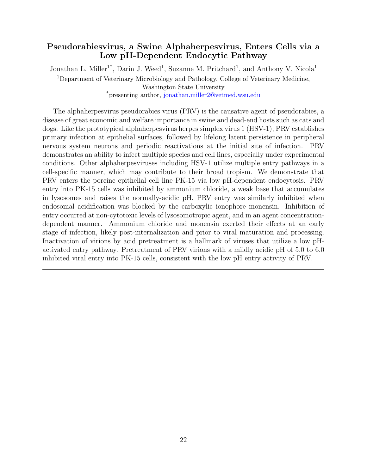#### <span id="page-24-1"></span><span id="page-24-0"></span>Pseudorabiesvirus, a Swine Alphaherpesvirus, Enters Cells via a Low pH-Dependent Endocytic Pathway

Jonathan L. Miller<sup>1\*</sup>, Darin J. Weed<sup>1</sup>, Suzanne M. Pritchard<sup>1</sup>, and Anthony V. Nicola<sup>1</sup> <sup>1</sup>Department of Veterinary Microbiology and Pathology, College of Veterinary Medicine, Washington State University

\*presenting author, [jonathan.miller2@vetmed.wsu.edu](mailto:jonathan.miller2@vetmed.wsu.edu)

The alphaherpesvirus pseudorabies virus (PRV) is the causative agent of pseudorabies, a disease of great economic and welfare importance in swine and dead-end hosts such as cats and dogs. Like the prototypical alphaherpesvirus herpes simplex virus 1 (HSV-1), PRV establishes primary infection at epithelial surfaces, followed by lifelong latent persistence in peripheral nervous system neurons and periodic reactivations at the initial site of infection. PRV demonstrates an ability to infect multiple species and cell lines, especially under experimental conditions. Other alphaherpesviruses including HSV-1 utilize multiple entry pathways in a cell-specific manner, which may contribute to their broad tropism. We demonstrate that PRV enters the porcine epithelial cell line PK-15 via low pH-dependent endocytosis. PRV entry into PK-15 cells was inhibited by ammonium chloride, a weak base that accumulates in lysosomes and raises the normally-acidic pH. PRV entry was similarly inhibited when endosomal acidification was blocked by the carboxylic ionophore monensin. Inhibition of entry occurred at non-cytotoxic levels of lysosomotropic agent, and in an agent concentrationdependent manner. Ammonium chloride and monensin exerted their effects at an early stage of infection, likely post-internalization and prior to viral maturation and processing. Inactivation of virions by acid pretreatment is a hallmark of viruses that utilize a low pHactivated entry pathway. Pretreatment of PRV virions with a mildly acidic pH of 5.0 to 6.0 inhibited viral entry into PK-15 cells, consistent with the low pH entry activity of PRV.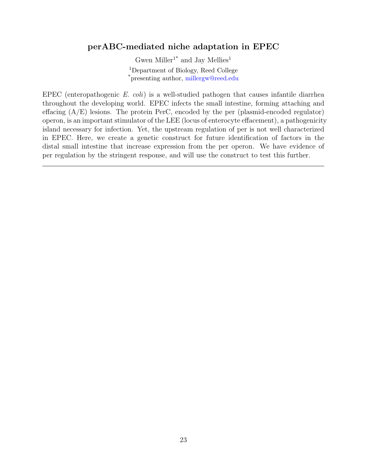#### <span id="page-25-1"></span><span id="page-25-0"></span>perABC-mediated niche adaptation in EPEC

Gwen $\mathrm{Miller}^{1^*}$  and Jay  $\mathrm{Mellies}^1$ <sup>1</sup>Department of Biology, Reed College \*presenting author, [millergw@reed.edu](mailto:millergw@reed.edu )

EPEC (enteropathogenic E. coli) is a well-studied pathogen that causes infantile diarrhea throughout the developing world. EPEC infects the small intestine, forming attaching and effacing  $(A/E)$  lesions. The protein PerC, encoded by the per (plasmid-encoded regulator) operon, is an important stimulator of the LEE (locus of enterocyte effacement), a pathogenicity island necessary for infection. Yet, the upstream regulation of per is not well characterized in EPEC. Here, we create a genetic construct for future identification of factors in the distal small intestine that increase expression from the per operon. We have evidence of per regulation by the stringent response, and will use the construct to test this further.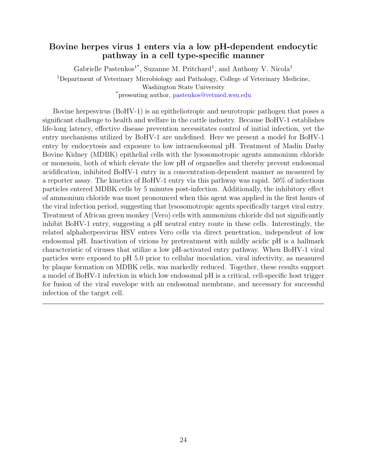#### <span id="page-26-1"></span><span id="page-26-0"></span>Bovine herpes virus 1 enters via a low pH-dependent endocytic pathway in a cell type-specific manner

Gabrielle Pastenkos<sup>1\*</sup>, Suzanne M. Pritchard<sup>1</sup>, and Anthony V. Nicola<sup>1</sup> <sup>1</sup>Department of Veterinary Microbiology and Pathology, College of Veterinary Medicine, Washington State University \*presenting author, [pastenkos@vetmed.wsu.edu](mailto:pastenkos@vetmed.wsu.edu)

Bovine herpesvirus (BoHV-1) is an epitheliotropic and neurotropic pathogen that poses a significant challenge to health and welfare in the cattle industry. Because BoHV-1 establishes life-long latency, effective disease prevention necessitates control of initial infection, yet the entry mechanisms utilized by BoHV-1 are undefined. Here we present a model for BoHV-1 entry by endocytosis and exposure to low intraendosomal pH. Treatment of Madin Darby Bovine Kidney (MDBK) epithelial cells with the lysosomotropic agents ammonium chloride or monensin, both of which elevate the low pH of organelles and thereby prevent endosomal acidification, inhibited BoHV-1 entry in a concentration-dependent manner as measured by a reporter assay. The kinetics of BoHV-1 entry via this pathway was rapid. 50% of infectious particles entered MDBK cells by 5 minutes post-infection. Additionally, the inhibitory effect of ammonium chloride was most pronounced when this agent was applied in the first hours of the viral infection period, suggesting that lysosomotropic agents specifically target viral entry. Treatment of African green monkey (Vero) cells with ammonium chloride did not significantly inhibit BoHV-1 entry, suggesting a pH neutral entry route in these cells. Interestingly, the related alphaherpesvirus HSV enters Vero cells via direct penetration, independent of low endosomal pH. Inactivation of virions by pretreatment with mildly acidic pH is a hallmark characteristic of viruses that utilize a low pH-activated entry pathway. When BoHV-1 viral particles were exposed to pH 5.0 prior to cellular inoculation, viral infectivity, as measured by plaque formation on MDBK cells, was markedly reduced. Together, these results support a model of BoHV-1 infection in which low endosomal pH is a critical, cell-specific host trigger for fusion of the viral envelope with an endosomal membrane, and necessary for successful infection of the target cell.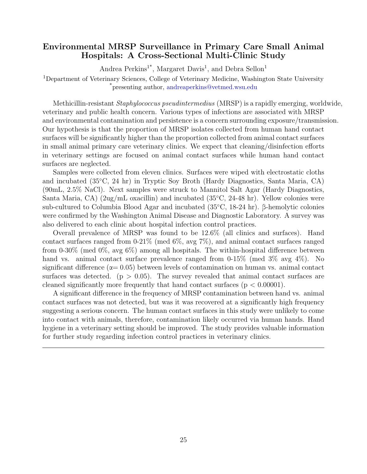#### <span id="page-27-1"></span><span id="page-27-0"></span>Environmental MRSP Surveillance in Primary Care Small Animal Hospitals: A Cross-Sectional Multi-Clinic Study

Andrea Perkins<sup>1\*</sup>, Margaret Davis<sup>1</sup>, and Debra Sellon<sup>1</sup>

<sup>1</sup>Department of Veterinary Sciences, College of Veterinary Medicine, Washington State University \*presenting author, [andreaperkins@vetmed.wsu.edu](mailto:andreaperkins@vetmed.wsu.edu)

Methicillin-resistant Staphylococcus pseudintermedius (MRSP) is a rapidly emerging, worldwide, veterinary and public health concern. Various types of infections are associated with MRSP and environmental contamination and persistence is a concern surrounding exposure/transmission. Our hypothesis is that the proportion of MRSP isolates collected from human hand contact surfaces will be significantly higher than the proportion collected from animal contact surfaces in small animal primary care veterinary clinics. We expect that cleaning/disinfection efforts in veterinary settings are focused on animal contact surfaces while human hand contact surfaces are neglected.

Samples were collected from eleven clinics. Surfaces were wiped with electrostatic cloths and incubated (35◦C, 24 hr) in Tryptic Soy Broth (Hardy Diagnostics, Santa Maria, CA) (90mL, 2.5% NaCl). Next samples were struck to Mannitol Salt Agar (Hardy Diagnostics, Santa Maria, CA) (2ug/mL oxacillin) and incubated (35 $°C$ , 24-48 hr). Yellow colonies were sub-cultured to Columbia Blood Agar and incubated (35◦C, 18-24 hr). β-hemolytic colonies were confirmed by the Washington Animal Disease and Diagnostic Laboratory. A survey was also delivered to each clinic about hospital infection control practices.

Overall prevalence of MRSP was found to be 12.6% (all clinics and surfaces). Hand contact surfaces ranged from 0-21% (med 6%, avg 7%), and animal contact surfaces ranged from 0-30% (med 0%, avg 6%) among all hospitals. The within-hospital difference between hand vs. animal contact surface prevalence ranged from 0-15% (med 3% avg 4%). No significant difference ( $\alpha$  = 0.05) between levels of contamination on human vs. animal contact surfaces was detected. ( $p > 0.05$ ). The survey revealed that animal contact surfaces are cleaned significantly more frequently that hand contact surfaces ( $p < 0.00001$ ).

A significant difference in the frequency of MRSP contamination between hand vs. animal contact surfaces was not detected, but was it was recovered at a significantly high frequency suggesting a serious concern. The human contact surfaces in this study were unlikely to come into contact with animals, therefore, contamination likely occurred via human hands. Hand hygiene in a veterinary setting should be improved. The study provides valuable information for further study regarding infection control practices in veterinary clinics.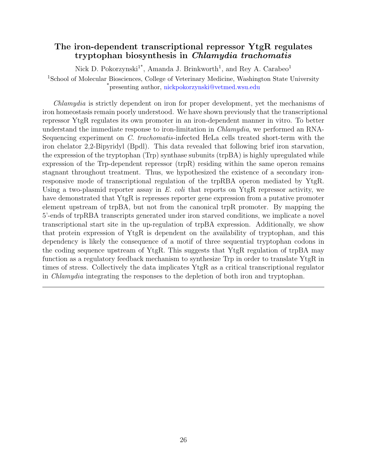#### <span id="page-28-1"></span><span id="page-28-0"></span>The iron-dependent transcriptional repressor YtgR regulates tryptophan biosynthesis in Chlamydia trachomatis

Nick D. Pokorzynski<sup>1\*</sup>, Amanda J. Brinkworth<sup>1</sup>, and Rey A. Carabeo<sup>1</sup> <sup>1</sup>School of Molecular Biosciences, College of Veterinary Medicine, Washington State University \*presenting author, [nickpokorzynski@vetmed.wsu.edu](mailto:nickpokorzynski@vetmed.wsu.edu)

Chlamydia is strictly dependent on iron for proper development, yet the mechanisms of iron homeostasis remain poorly understood. We have shown previously that the transcriptional repressor YtgR regulates its own promoter in an iron-dependent manner in vitro. To better understand the immediate response to iron-limitation in *Chlamydia*, we performed an RNA-Sequencing experiment on C. trachomatis-infected HeLa cells treated short-term with the iron chelator 2,2-Bipyridyl (Bpdl). This data revealed that following brief iron starvation, the expression of the tryptophan (Trp) synthase subunits (trpBA) is highly upregulated while expression of the Trp-dependent repressor (trpR) residing within the same operon remains stagnant throughout treatment. Thus, we hypothesized the existence of a secondary ironresponsive mode of transcriptional regulation of the trpRBA operon mediated by YtgR. Using a two-plasmid reporter assay in  $E.$  coli that reports on YtgR repressor activity, we have demonstrated that YtgR is represses reporter gene expression from a putative promoter element upstream of trpBA, but not from the canonical trpR promoter. By mapping the 5'-ends of trpRBA transcripts generated under iron starved conditions, we implicate a novel transcriptional start site in the up-regulation of trpBA expression. Additionally, we show that protein expression of YtgR is dependent on the availability of tryptophan, and this dependency is likely the consequence of a motif of three sequential tryptophan codons in the coding sequence upstream of YtgR. This suggests that YtgR regulation of trpBA may function as a regulatory feedback mechanism to synthesize Trp in order to translate YtgR in times of stress. Collectively the data implicates YtgR as a critical transcriptional regulator in Chlamydia integrating the responses to the depletion of both iron and tryptophan.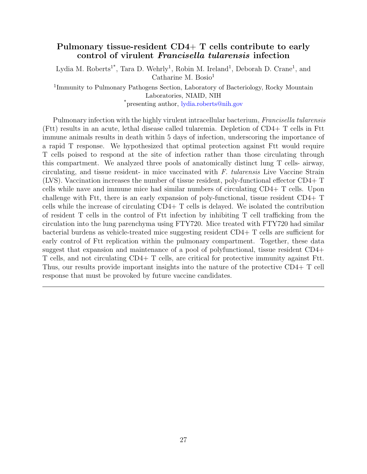#### <span id="page-29-1"></span><span id="page-29-0"></span>Pulmonary tissue-resident CD4+ T cells contribute to early control of virulent Francisella tularensis infection

Lydia M. Roberts<sup>1\*</sup>, Tara D. Wehrly<sup>1</sup>, Robin M. Ireland<sup>1</sup>, Deborah D. Crane<sup>1</sup>, and Catharine M. Bosio $<sup>1</sup>$ </sup>

<sup>1</sup>Immunity to Pulmonary Pathogens Section, Laboratory of Bacteriology, Rocky Mountain Laboratories, NIAID, NIH \*presenting author, [lydia.roberts@nih.gov](mailto:lydia.roberts@nih.gov)

Pulmonary infection with the highly virulent intracellular bacterium, Francisella tularensis (Ftt) results in an acute, lethal disease called tularemia. Depletion of CD4+ T cells in Ftt immune animals results in death within 5 days of infection, underscoring the importance of a rapid T response. We hypothesized that optimal protection against Ftt would require T cells poised to respond at the site of infection rather than those circulating through this compartment. We analyzed three pools of anatomically distinct lung T cells- airway, circulating, and tissue resident- in mice vaccinated with F. tularensis Live Vaccine Strain (LVS). Vaccination increases the number of tissue resident, poly-functional effector CD4+ T cells while nave and immune mice had similar numbers of circulating CD4+ T cells. Upon challenge with Ftt, there is an early expansion of poly-functional, tissue resident CD4+ T cells while the increase of circulating CD4+ T cells is delayed. We isolated the contribution of resident T cells in the control of Ftt infection by inhibiting T cell trafficking from the circulation into the lung parenchyma using FTY720. Mice treated with FTY720 had similar bacterial burdens as vehicle-treated mice suggesting resident CD4+ T cells are sufficient for early control of Ftt replication within the pulmonary compartment. Together, these data suggest that expansion and maintenance of a pool of polyfunctional, tissue resident CD4+ T cells, and not circulating CD4+ T cells, are critical for protective immunity against Ftt. Thus, our results provide important insights into the nature of the protective CD4+ T cell response that must be provoked by future vaccine candidates.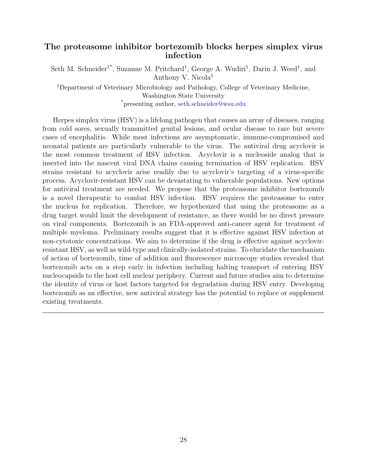#### <span id="page-30-1"></span><span id="page-30-0"></span>The proteasome inhibitor bortezomib blocks herpes simplex virus infection

Seth M. Schneider<sup>1\*</sup>, Suzanne M. Pritchard<sup>1</sup>, George A. Wudiri<sup>1</sup>, Darin J. Weed<sup>1</sup>, and Anthony V. Nicola<sup>1</sup>

<sup>1</sup>Department of Veterinary Microbiology and Pathology, College of Veterinary Medicine, Washington State University \*presenting author, [seth.schneider@wsu.edu](mailto:seth.schneider@wsu.edu)

Herpes simplex virus (HSV) is a lifelong pathogen that causes an array of diseases, ranging from cold sores, sexually transmitted genital lesions, and ocular disease to rare but severe cases of encephalitis. While most infections are asymptomatic, immune-compromised and neonatal patients are particularly vulnerable to the virus. The antiviral drug acyclovir is the most common treatment of HSV infection. Acyclovir is a nucleoside analog that is inserted into the nascent viral DNA chains causing termination of HSV replication. HSV strains resistant to acyclovir arise readily due to acyclovir's targeting of a virus-specific process. Acyclovir-resistant HSV can be devastating to vulnerable populations. New options for antiviral treatment are needed. We propose that the proteasome inhibitor bortezomib is a novel therapeutic to combat HSV infection. HSV requires the proteasome to enter the nucleus for replication. Therefore, we hypothesized that using the proteasome as a drug target would limit the development of resistance, as there would be no direct pressure on viral components. Bortezomib is an FDA-approved anti-cancer agent for treatment of multiple myeloma. Preliminary results suggest that it is effective against HSV infection at non-cytotoxic concentrations. We aim to determine if the drug is effective against acyclovirresistant HSV, as well as wild-type and clinically-isolated strains. To elucidate the mechanism of action of bortezomib, time of addition and fluorescence microscopy studies revealed that bortezomib acts on a step early in infection including halting transport of entering HSV nucleocapsids to the host cell nuclear periphery. Current and future studies aim to determine the identity of virus or host factors targeted for degradation during HSV entry. Developing bortezomib as an effective, new antiviral strategy has the potential to replace or supplement existing treatments.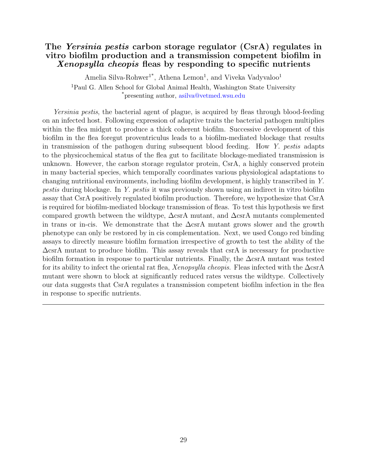#### <span id="page-31-1"></span><span id="page-31-0"></span>The *Yersinia pestis* carbon storage regulator (CsrA) regulates in vitro biofilm production and a transmission competent biofilm in Xenopsylla cheopis fleas by responding to specific nutrients

Amelia Silva-Rohwer<sup>1\*</sup>, Athena Lemon<sup>1</sup>, and Viveka Vadyvaloo<sup>1</sup> <sup>1</sup>Paul G. Allen School for Global Animal Health, Washington State University \*presenting author, [asilva@vetmed.wsu.edu](mailto:asilva@vetmed.wsu.edu)

Yersinia pestis, the bacterial agent of plague, is acquired by fleas through blood-feeding on an infected host. Following expression of adaptive traits the bacterial pathogen multiplies within the flea midgut to produce a thick coherent biofilm. Successive development of this biofilm in the flea foregut proventriculus leads to a biofilm-mediated blockage that results in transmission of the pathogen during subsequent blood feeding. How Y. pestis adapts to the physicochemical status of the flea gut to facilitate blockage-mediated transmission is unknown. However, the carbon storage regulator protein, CsrA, a highly conserved protein in many bacterial species, which temporally coordinates various physiological adaptations to changing nutritional environments, including biofilm development, is highly transcribed in Y. pestis during blockage. In Y. pestis it was previously shown using an indirect in vitro biofilm assay that CsrA positively regulated biofilm production. Therefore, we hypothesize that CsrA is required for biofilm-mediated blockage transmission of fleas. To test this hypothesis we first compared growth between the wildtype,  $\Delta$ csrA mutant, and  $\Delta$ csrA mutants complemented in trans or in-cis. We demonstrate that the  $\Delta$ csrA mutant grows slower and the growth phenotype can only be restored by in cis complementation. Next, we used Congo red binding assays to directly measure biofilm formation irrespective of growth to test the ability of the  $\Delta$ csrA mutant to produce biofilm. This assay reveals that csrA is necessary for productive biofilm formation in response to particular nutrients. Finally, the  $\Delta$ csrA mutant was tested for its ability to infect the oriental rat flea, Xenopsylla cheopis. Fleas infected with the  $\Delta$ csrA mutant were shown to block at significantly reduced rates versus the wildtype. Collectively our data suggests that CsrA regulates a transmission competent biofilm infection in the flea in response to specific nutrients.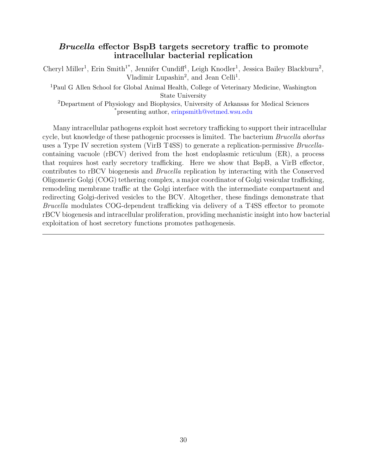#### <span id="page-32-1"></span><span id="page-32-0"></span>Brucella effector BspB targets secretory traffic to promote intracellular bacterial replication

Cheryl Miller<sup>1</sup>, Erin Smith<sup>1\*</sup>, Jennifer Cundiff<sup>1</sup>, Leigh Knodler<sup>1</sup>, Jessica Bailey Blackburn<sup>2</sup>, Vladimir Lupashin<sup>2</sup>, and Jean Celli<sup>1</sup>.

<sup>1</sup>Paul G Allen School for Global Animal Health, College of Veterinary Medicine, Washington State University

<sup>2</sup>Department of Physiology and Biophysics, University of Arkansas for Medical Sciences \*presenting author, [erinpsmith@vetmed.wsu.edu](mailto:erinpsmith@vetmed.wsu.edu)

Many intracellular pathogens exploit host secretory trafficking to support their intracellular cycle, but knowledge of these pathogenic processes is limited. The bacterium *Brucella abortus* uses a Type IV secretion system (VirB T4SS) to generate a replication-permissive Brucellacontaining vacuole (rBCV) derived from the host endoplasmic reticulum (ER), a process that requires host early secretory trafficking. Here we show that BspB, a VirB effector, contributes to rBCV biogenesis and Brucella replication by interacting with the Conserved Oligomeric Golgi (COG) tethering complex, a major coordinator of Golgi vesicular trafficking, remodeling membrane traffic at the Golgi interface with the intermediate compartment and redirecting Golgi-derived vesicles to the BCV. Altogether, these findings demonstrate that Brucella modulates COG-dependent trafficking via delivery of a T4SS effector to promote rBCV biogenesis and intracellular proliferation, providing mechanistic insight into how bacterial exploitation of host secretory functions promotes pathogenesis.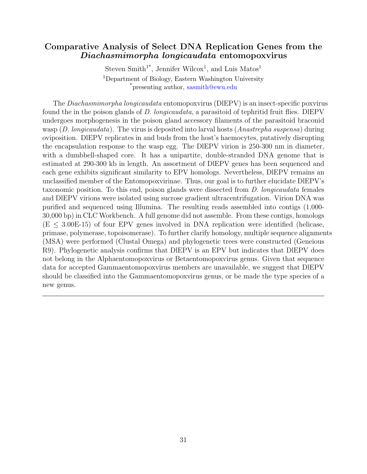#### <span id="page-33-1"></span><span id="page-33-0"></span>Comparative Analysis of Select DNA Replication Genes from the Diachasmimorpha longicaudata entomopoxvirus

Steven Smith<sup>1\*</sup>, Jennifer Wilcox<sup>1</sup>, and Luis Matos<sup>1</sup> <sup>1</sup>Department of Biology, Eastern Washington University \*presenting author, [sasmith@ewu.edu](mailto:sasmith@ewu.edu)

The Diachasmimorpha longicaudata entomopoxvirus (DlEPV) is an insect-specific poxvirus found the in the poison glands of D. longicaudata, a parasitoid of tephritid fruit flies. DIEPV undergoes morphogenesis in the poison gland accessory filaments of the parasitoid braconid wasp  $(D. longicaudata)$ . The virus is deposited into larval hosts  $(Anastrepha suspensa)$  during oviposition. DlEPV replicates in and buds from the host's haemocytes, putatively disrupting the encapsulation response to the wasp egg. The DlEPV virion is 250-300 nm in diameter, with a dumbbell-shaped core. It has a unipartite, double-stranded DNA genome that is estimated at 290-300 kb in length. An assortment of DlEPV genes has been sequenced and each gene exhibits significant similarity to EPV homologs. Nevertheless, DlEPV remains an unclassified member of the Entomopoxvirinae. Thus, our goal is to further elucidate DlEPV's taxonomic position. To this end, poison glands were dissected from D. longicaudata females and DlEPV virions were isolated using sucrose gradient ultracentrifugation. Virion DNA was purified and sequenced using Illumina. The resulting reads assembled into contigs (1,000- 30,000 bp) in CLC Workbench. A full genome did not assemble. From these contigs, homologs  $(E \leq 3.00E-15)$  of four EPV genes involved in DNA replication were identified (helicase, primase, polymerase, topoisomerase). To further clarify homology, multiple sequence alignments (MSA) were performed (Clustal Omega) and phylogenetic trees were constructed (Geneious R9). Phylogenetic analysis confirms that DlEPV is an EPV but indicates that DlEPV does not belong in the Alphaentomopoxvirus or Betaentomopoxvirus genus. Given that sequence data for accepted Gammaentomopoxvirus members are unavailable, we suggest that DlEPV should be classified into the Gammaentomopoxvirus genus, or be made the type species of a new genus.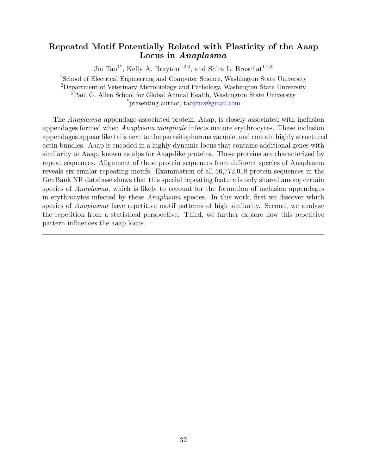#### <span id="page-34-1"></span><span id="page-34-0"></span>Repeated Motif Potentially Related with Plasticity of the Aaap Locus in Anaplasma

Jin Tao<sup>1\*</sup>, Kelly A. Brayton<sup>1,2,3</sup>, and Shira L. Broschat<sup>1,2,3</sup> <sup>1</sup>School of Electrical Engineering and Computer Science, Washington State University <sup>2</sup>Department of Veterinary Microbiology and Pathology, Washington State University <sup>3</sup>Paul G. Allen School for Global Animal Health, Washington State University \*presenting author, [taojincs@gmail.com](mailto:taojincs@gmail.com)

The Anaplasma appendage-associated protein, Aaap, is closely associated with inclusion appendages formed when Anaplasma marginale infects mature erythrocytes. These inclusion appendages appear like tails next to the parasitophorous vacuole, and contain highly structured actin bundles. Aaap is encoded in a highly dynamic locus that contains additional genes with similarity to Aaap, known as alps for Aaap-like proteins. These proteins are characterized by repeat sequences. Alignment of these protein sequences from different species of Anaplasma reveals six similar repeating motifs. Examination of all 56,772,018 protein sequences in the GenBank NR database shows that this special repeating feature is only shared among certain species of *Anaplasma*, which is likely to account for the formation of inclusion appendages in erythrocytes infected by these Anaplasma species. In this work, first we discover which species of *Anaplasma* have repetitive motif patterns of high similarity. Second, we analyze the repetition from a statistical perspective. Third, we further explore how this repetitive pattern influences the aaap locus.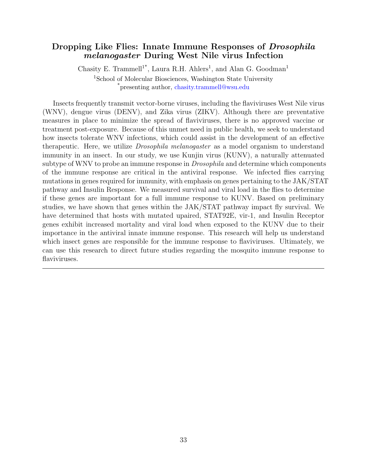#### <span id="page-35-1"></span><span id="page-35-0"></span>Dropping Like Flies: Innate Immune Responses of *Drosophila* melanogaster During West Nile virus Infection

Chasity E. Trammell<sup>1\*</sup>, Laura R.H. Ahlers<sup>1</sup>, and Alan G. Goodman<sup>1</sup> <sup>1</sup>School of Molecular Biosciences, Washington State University \*presenting author, [chasity.trammell@wsu.edu](mailto:chasity.trammell@wsu.edu )

Insects frequently transmit vector-borne viruses, including the flaviviruses West Nile virus (WNV), dengue virus (DENV), and Zika virus (ZIKV). Although there are preventative measures in place to minimize the spread of flaviviruses, there is no approved vaccine or treatment post-exposure. Because of this unmet need in public health, we seek to understand how insects tolerate WNV infections, which could assist in the development of an effective therapeutic. Here, we utilize *Drosophila melanogaster* as a model organism to understand immunity in an insect. In our study, we use Kunjin virus (KUNV), a naturally attenuated subtype of WNV to probe an immune response in *Drosophila* and determine which components of the immune response are critical in the antiviral response. We infected flies carrying mutations in genes required for immunity, with emphasis on genes pertaining to the JAK/STAT pathway and Insulin Response. We measured survival and viral load in the flies to determine if these genes are important for a full immune response to KUNV. Based on preliminary studies, we have shown that genes within the JAK/STAT pathway impact fly survival. We have determined that hosts with mutated upaired, STAT92E, vir-1, and Insulin Receptor genes exhibit increased mortality and viral load when exposed to the KUNV due to their importance in the antiviral innate immune response. This research will help us understand which insect genes are responsible for the immune response to flaviviruses. Ultimately, we can use this research to direct future studies regarding the mosquito immune response to flaviviruses.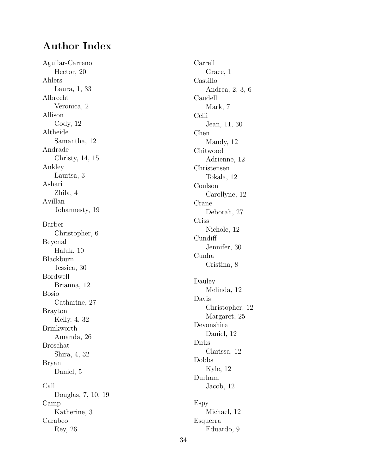### <span id="page-36-0"></span>Author Index

Aguilar-Carreno Hector, [20](#page-22-1) Ahlers Laura, [1](#page-3-1), [33](#page-35-1) Albrecht Veronica, [2](#page-4-1) Allison Cody, [12](#page-14-1) Altheide Samantha, [12](#page-14-1) Andrade Christy, [14](#page-16-1) , [15](#page-17-1) Ankley Laurisa, [3](#page-5-1) Ashari Zhila, [4](#page-6-1) Avillan Johannesty, [19](#page-21-1) Barber Christopher, [6](#page-8-1) Beyenal Haluk, [10](#page-12-1) Blackburn Jessica, [30](#page-32-1) Bordwell Brianna, [12](#page-14-1) Bosio Catharine, [27](#page-29-1) Brayton Kelly, [4](#page-6-1) , [32](#page-34-1) Brinkworth Amanda, [26](#page-28-1) Broschat Shira, [4](#page-6-1) , [32](#page-34-1) Bryan Daniel, [5](#page-7-1) Call Douglas, [7](#page-9-1) , [10](#page-12-1) , [19](#page-21-1) Camp Katherine, [3](#page-5-1) Carabeo Rey, [26](#page-28-1)

Carrell Grace, [1](#page-3-1) Castillo Andrea, [2](#page-4-1), [3](#page-5-1), [6](#page-8-1) Caudell Mark, [7](#page-9-1) Celli Jean, [11](#page-13-1) , [30](#page-32-1) Chen Mandy, [12](#page-14-1) Chitwood Adrienne, [12](#page-14-1) Christensen Tokala, [12](#page-14-1) Coulson Carollyne, [12](#page-14-1) Crane Deborah, [27](#page-29-1) Criss Nichole, [12](#page-14-1) Cundiff Jennifer, [30](#page-32-1) Cunha Cristina, [8](#page-10-1) Dauley Melinda, [12](#page-14-1) Davis Christopher, [12](#page-14-1) Margaret, [25](#page-27-1) Devonshire Daniel, [12](#page-14-1) Dirks Clarissa, [12](#page-14-1) Dobbs Kyle, [12](#page-14-1) Durham Jacob, [12](#page-14-1) Espy Michael, [12](#page-14-1) Esquerra Eduardo, [9](#page-11-1)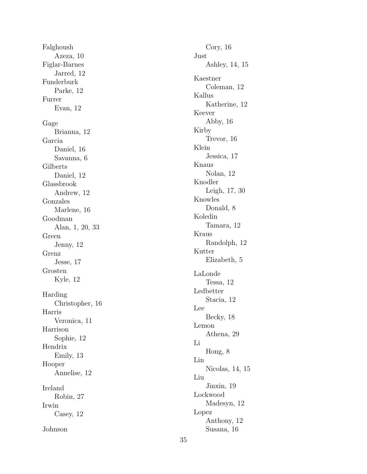Falghoush Azeza, [10](#page-12-1) Figlar-Barnes Jarred, [12](#page-14-1) Funderburk Parke, [12](#page-14-1) Furrer Evan, [12](#page-14-1) Gage Brianna, [12](#page-14-1) Garcia Daniel, [16](#page-18-1) Savanna, [6](#page-8-1) Gilberts Daniel, [12](#page-14-1) Glassbrook Andrew, [12](#page-14-1) Gonzales Marlene, [16](#page-18-1) Goodman Alan, [1](#page-3-1) , [20](#page-22-1) , [33](#page-35-1) Green Jenny, [12](#page-14-1) Grenz Jesse, [17](#page-19-1) Grosten Kyle, [12](#page-14-1) Harding Christopher, [16](#page-18-1) Harris Veronica, [11](#page-13-1) Harrison Sophie, [12](#page-14-1) Hendrix Emily, [13](#page-15-1) Hooper Annelise, [12](#page-14-1) Ireland Robin, [27](#page-29-1) Irwin Casey, [12](#page-14-1) Johnson

35

Cory, [16](#page-18-1) Just Ashley, [14](#page-16-1) , [15](#page-17-1) Kaestner Coleman, [12](#page-14-1) Kallus Katherine, [12](#page-14-1) Keever Abby, [16](#page-18-1) Kirby Trevor, [16](#page-18-1) Klein Jessica, [17](#page-19-1) Knaus Nolan, [12](#page-14-1) Knodler Leigh, [17](#page-19-1) , [30](#page-32-1) Knowles Donald, [8](#page-10-1) Koledin Tamara, [12](#page-14-1) Kraus Randolph, [12](#page-14-1) Kutter Elizabeth, [5](#page-7-1) LaLonde Tessa, [12](#page-14-1) Ledbetter Stacia, [12](#page-14-1) Lee Becky, [18](#page-20-1) Lemon Athena, [29](#page-31-1) Li Hong, [8](#page-10-1) Lin Nicolas, [14](#page-16-1) , [15](#page-17-1) Liu Jinxin, [19](#page-21-1) Lockwood Madesyn, [12](#page-14-1) Lopez Anthony, [12](#page-14-1) Susana, [16](#page-18-1)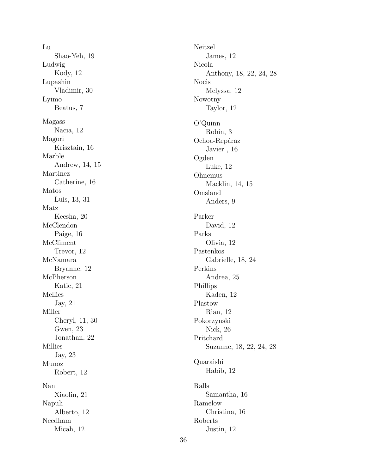Lu Shao-Yeh, [19](#page-21-1) Ludwig Kody, [12](#page-14-1) Lupashin Vladimir, [30](#page-32-1) Lyimo Beatus, [7](#page-9-1) Magass Nacia, [12](#page-14-1) Magori Krisztain, [16](#page-18-1) Marble Andrew, [14](#page-16-1) , [15](#page-17-1) Martinez Catherine, [16](#page-18-1) Matos Luis, [13](#page-15-1) , [31](#page-33-1) Matz Keesha, [20](#page-22-1) McClendon Paige, [16](#page-18-1) McCliment Trevor, [12](#page-14-1) McNamara Bryanne, [12](#page-14-1) McPherson Katie, [21](#page-23-1) Mellies Jay, [21](#page-23-1) Miller Cheryl, [11](#page-13-1) , [30](#page-32-1) Gwen, [23](#page-25-1) Jonathan, [22](#page-24-1) Millies Jay, [23](#page-25-1) Munoz Robert, [12](#page-14-1) Nan Xiaolin, [21](#page-23-1) Napuli Alberto, [12](#page-14-1) Needham Micah, [12](#page-14-1)

Neitzel James, [12](#page-14-1) Nicola Anthony, [18](#page-20-1), [22](#page-24-1), [24](#page-26-1), [28](#page-30-1) Nocis Melyssa, [12](#page-14-1) Nowotny Taylor, [12](#page-14-1) O'Quinn Robin, [3](#page-5-1) Ochoa-Repáraz Javier , [16](#page-18-1) Ogden Luke, [12](#page-14-1) Ohnemus Macklin, [14](#page-16-1) , [15](#page-17-1) Omsland Anders, [9](#page-11-1) Parker David, [12](#page-14-1) Parks Olivia, [12](#page-14-1) Pastenkos Gabrielle, [18](#page-20-1) , [24](#page-26-1) Perkins Andrea, [25](#page-27-1) Phillips Kaden, [12](#page-14-1) Plastow Rian, [12](#page-14-1) Pokorzynski Nick, [26](#page-28-1) Pritchard Suzanne, [18](#page-20-1), [22](#page-24-1), [24](#page-26-1), [28](#page-30-1) Quaraishi Habib, [12](#page-14-1) Ralls Samantha, [16](#page-18-1) Ramelow Christina, [16](#page-18-1) Roberts Justin, [12](#page-14-1)